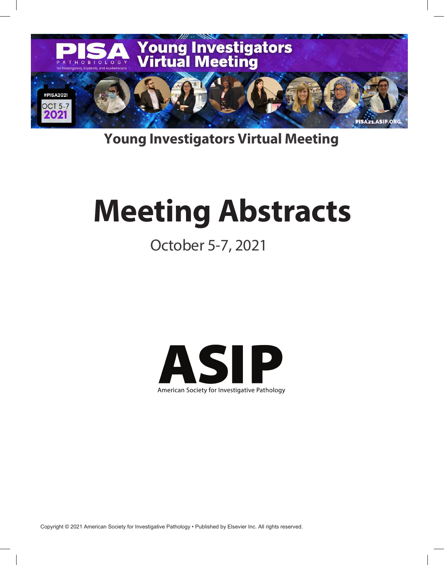

# **Young Investigators Virtual Meeting**

# **Meeting Abstracts**

# October 5-7, 2021



Copyright © 2021 American Society for Investigative Pathology • Published by Elsevier Inc. All rights reserved.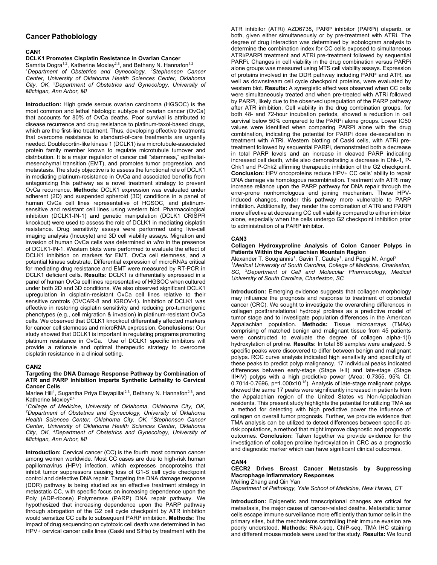# **Cancer Pathobiology**

# **CAN1**

# **DCLK1 Promotes Cisplatin Resistance in Ovarian Cancer**

Samrita Dogra<sup>1,2</sup>, Katherine Moxley<sup>2,3</sup>, and Bethany N. Hannafon<sup>1,2</sup> <sup>1</sup>Department of Obstetrics and Gynecology, <sup>2</sup>Stephenson Cancer *Center, University of Oklahoma Health Sciences Center, Oklahoma City, OK, 3 Department of Obstetrics and Gynecology, University of Michigan, Ann Arbor, MI* 

**Introduction:** High grade serous ovarian carcinoma (HGSOC) is the most common and lethal histologic subtype of ovarian cancer (OvCa) that accounts for 80% of OvCa deaths. Poor survival is attributed to disease recurrence and drug resistance to platinum-taxol-based drugs, which are the first-line treatment. Thus, developing effective treatments that overcome resistance to standard-of-care treatments are urgently needed. Doublecortin-like kinase 1 (DCLK1) is a microtubule-associated protein family member known to regulate microtubule turnover and distribution. It is a major regulator of cancer cell "stemness," epithelialmesenchymal transition (EMT), and promotes tumor progression, and metastasis. The study objective is to assess the functional role of DCLK1 in mediating platinum-resistance in OvCa and associated benefits from antagonizing this pathway as a novel treatment strategy to prevent OvCa recurrence. **Methods:** DCLK1 expression was evaluated under adherent (2D) and suspended spheroid (3D) conditions in a panel of human OvCa cell lines representative of HGSOC, and platinumsensitive and resistant cell lines using western blot. Pharmacological inhibition (DCLK1-IN-1) and genetic manipulation (DCLK1 CRISPR knockout) were used to assess the role of DCLK1 in mediating cisplatin resistance. Drug sensitivity assays were performed using live-cell imaging analysis (Incucyte) and 3D cell viability assays. Migration and invasion of human OvCa cells was determined *in vitro* in the presence of DCLK1-IN-1. Western blots were performed to evaluate the effect of DCLK1 inhibition on markers for EMT, OvCa cell stemness, and a potential kinase substrate. Differential expression of microRNAs critical for mediating drug resistance and EMT were measured by RT-PCR in DCLK1 deficient cells. **Results:** DCLK1 is differentially expressed in a panel of human OvCa cell lines representative of HGSOC when cultured under both 2D and 3D conditions. We also observed significant DCLK1 upregulation in cisplatin-resistant OvCa cell lines relative to their sensitive controls (OVCAR-8 and IGROV-1). Inhibition of DCLK1 was effective in restoring cisplatin sensitivity and reducing pro-tumorigenic phenotypes (e.g., cell migration & invasion) in platinum-resistant OvCa cells. We observed that DCLK1 knockout differentially affected markers for cancer cell stemness and microRNA expression. **Conclusions:** Our study showed that DCLK1 is important in regulating programs promoting platinum resistance in OvCa. Use of DCLK1 specific inhibitors will provide a rationale and optimal therapeutic strategy to overcome cisplatin resistance in a clinical setting.

# **CAN2**

#### **Targeting the DNA Damage Response Pathway by Combination of ATR and PARP Inhibition Imparts Synthetic Lethality to Cervical Cancer Cells**

Marlee Hill<sup>1</sup>, Sugantha Priya Elayapillai<sup>2,3</sup>, Bethany N. Hannafon<sup>2,3</sup>, and Katherine Moxley<sup>2,4</sup>

*1 College of Medicine, University of Oklahoma, Oklahoma City, OK, 2 Department of Obstetrics and Gynecology, University of Oklahoma Health Sciences Center, Oklahoma City, OK, 3 Stephenson Cancer Center, University of Oklahoma Health Sciences Center, Oklahoma City, OK, 4 Department of Obstetrics and Gynecology, University of Michigan, Ann Arbor, MI* 

**Introduction:** Cervical cancer (CC) is the fourth most common cancer among women worldwide. Most CC cases are due to high-risk human papillomavirus (HPV) infection, which expresses oncoproteins that inhibit tumor suppressors causing loss of G1-S cell cycle checkpoint control and defective DNA repair. Targeting the DNA damage response (DDR) pathway is being studied as an effective treatment strategy in metastatic CC, with specific focus on increasing dependence upon the Poly (ADP-ribose) Polymerase (PARP) DNA repair pathway. We hypothesized that increasing dependence upon the PARP pathway through abrogation of the G2 cell cycle checkpoint by ATR inhibition would sensitize CC cells to subsequent PARP inhibition. **Methods:** The impact of drug sequencing on cytotoxic cell death was determined in two HPV+ cervical cancer cells lines (Caski and SiHa) by treatment with the

ATR inhibitor (ATRi) AZD6738, PARP inhibitor (PARPi) olaparib, or both, given either simultaneously or by pre-treatment with ATRi. The degree of drug interaction was determined by isobologram analysis to determine the combination index for CC cells exposed to simultaneous ATRi/PARPi treatment and ATRi pre-treatment followed by sequential PARPi. Changes in cell viability in the drug combination versus PARPi alone groups was measured using MTS cell viability assays. Expression of proteins involved in the DDR pathway including PARP and ATR, as well as downstream cell cycle checkpoint proteins, were evaluated by western blot. **Results:** A synergistic effect was observed when CC cells were simultaneously treated and when pre-treated with ATRi followed by PARPi, likely due to the observed upregulation of the PARP pathway after ATR inhibition. Cell viability in the drug combination groups, for both 48- and 72-hour incubation periods, showed a reduction in cell survival below 50% compared to the PARPi alone groups. Lower IC50 values were identified when comparing PARPi alone with the drug combination, indicating the potential for PARPi dose de-escalation in treatment with ATRi. Western blotting of Caski cells, with ATRi pretreatment followed by sequential PARPi, demonstrated both a decrease in total PARP levels and an increase in cleaved PARP indicating increased cell death, while also demonstrating a decrease in Chk-1, P-Chk1 and P-Chk2 affirming therapeutic inhibition of the G2 checkpoint. **Conclusion:** HPV oncoproteins reduce HPV+ CC cells' ability to repair DNA damage via homologous recombination. Treatment with ATRi may increase reliance upon the PARP pathway for DNA repair through the error-prone nonhomologous end joining mechanism. These HPVinduced changes, render this pathway more vulnerable to PARP inhibition. Additionally, they render the combination of ATRi and PARPi more effective at decreasing CC cell viability compared to either inhibitor alone, especially when the cells undergo G2 checkpoint inhibition prior to administration of a PARP inhibitor.

# **CAN3**

**Collagen Hydroxyproline Analysis of Colon Cancer Polyps in Patients Within the Appalachian Mountain Region** 

Alexander T. Sougiannis<sup>1</sup>, Gavin T. Cauley<sup>1</sup>, and Peggi M. Angel<sup>2</sup> *1 Medical University of South Carolina, College of Medicine, Charleston, SC, 2 Department of Cell and Molecular Pharmacology, Medical University of South Carolina, Charleston, SC* 

**Introduction:** Emerging evidence suggests that collagen morphology may influence the prognosis and response to treatment of colorectal cancer (CRC). We sought to investigate the overarching differences in collagen posttranslational hydroxyl prolines as a predictive model of tumor stage and to investigate population differences in the American Appalachian population. **Methods:** Tissue microarrays (TMAs) comprising of matched benign and malignant tissue from 45 patients were constructed to evaluate the degree of collagen alpha-1(I) hydroxylation of proline. **Results:** In total 86 samples were analyzed. 5 specific peaks were discovered to differ between benign and malignant polyps. ROC curve analysis indicated high sensitivity and specificity of these peaks to predict polyp malignancy. 17 individual peaks indicated differences between early-stage (Stage I+II) and late-stage (Stage III+IV) polyps with a high predictive power (Area; 0.7355, 95% CI:  $0.7014$ -0.7696, p=1.000x10<sup>-15</sup>). Analysis of late-stage malignant polyps showed the same 17 peaks were significantly increased in patients from the Appalachian region of the United States vs Non-Appalachian residents. This present study highlights the potential for utilizing TMA as a method for detecting with high predictive power the influence of collagen on overall tumor prognosis. Further, we provide evidence that TMA analysis can be utilized to detect differences between specific atrisk populations, a method that might improve diagnostic and prognostic outcomes. **Conclusion:** Taken together we provide evidence for the investigation of collagen proline hydroxylation in CRC as a prognostic and diagnostic marker which can have significant clinical outcomes.

# **CAN4**

# **CECR2 Drives Breast Cancer Metastasis by Suppressing Macrophage Inflammatory Responses**

Meiling Zhang and Qin Yan *Department of Pathology, Yale School of Medicine, New Haven, CT* 

**Introduction:** Epigenetic and transcriptional changes are critical for metastasis, the major cause of cancer-related deaths. Metastatic tumor cells escape immune surveillance more efficiently than tumor cells in the primary sites, but the mechanisms controlling their immune evasion are poorly understood. **Methods:** RNA-seq, ChIP-seq, TMA IHC staining and different mouse models were used for the study. **Results:** We found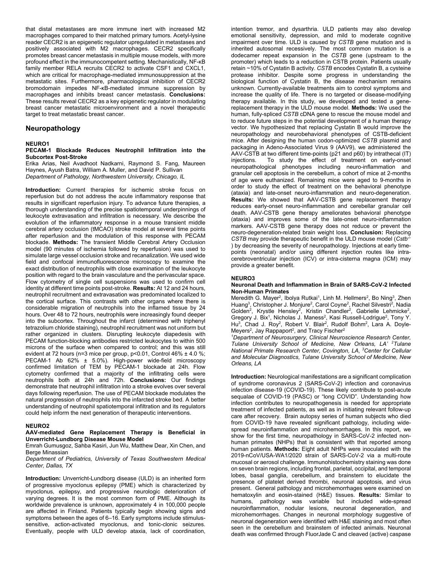that distal metastases are more immune inert with increased M2 macrophages compared to their matched primary tumors. Acetyl-lysine reader CECR2 is an epigenetic regulator upregulated in metastases and positively associated with M2 macrophages. CECR2 specifically promotes breast cancer metastasis in multiple mouse models, with more profound effect in the immunocompetent setting. Mechanistically, NF-κB family member RELA recruits CECR2 to activate CSF1 and CXCL1, which are critical for macrophage-mediated immunosuppression at the metastatic sites. Furthermore, pharmacological inhibition of CECR2 bromodomain impedes NF-κB-mediated immune suppression by macrophages and inhibits breast cancer metastasis. **Conclusions:** These results reveal CECR2 as a key epigenetic regulator in modulating breast cancer metastatic microenvironment and a novel therapeutic target to treat metastatic breast cancer.

# **Neuropathology**

#### **NEURO1**

#### **PECAM-1 Blockade Reduces Neutrophil Infiltration into the Subcortex Post-Stroke**

Erika Arias, Neil Avadhoot Nadkarni, Raymond S. Fang, Maureen Haynes, Ayush Batra, William A. Muller, and David P. Sullivan *Department of Pathology, Northwestern University, Chicago, IL* 

**Introduction:** Current therapies for ischemic stroke focus on reperfusion but do not address the acute inflammatory response that results in significant reperfusion injury. To advance future therapies, a thorough understanding of the precise spatiotemporal underpinnings of leukocyte extravasation and infiltration is necessary. We describe the evolution of the inflammatory response in a mouse transient middle cerebral artery occlusion (tMCAO) stroke model at several time points after reperfusion and the modulation of this response with PECAM blockade. **Methods:** The transient Middle Cerebral Artery Occlusion model (90 minutes of ischemia followed by reperfusion) was used to simulate large vessel occlusion stroke and recanalization. We used wide field and confocal immunofluorescence microscopy to examine the exact distribution of neutrophils with close examination of the leukocyte position with regard to the brain vasculature and the perivascular space. Flow cytometry of single cell suspensions was used to confirm cell identity at different time points post-stroke. **Results:** At 12 and 24 hours, neutrophil recruitment and extravasation was predominated localized to the cortical surface. This contrasts with other organs where there is considerable migration of neutrophils into the inflamed tissue by 24 hours. Over 48 to 72 hours, neutrophils were increasingly found deeper into the subcortex. Throughout the infarct (determined with triphenyl tetrazolium chloride staining), neutrophil recruitment was not uniform but rather organized in clusters. Disrupting leukocyte diapedesis with PECAM function-blocking antibodies restricted leukocytes to within 500 microns of the surface when compared to control; and this was still evident at 72 hours (n=3 mice per group, p<0.01, Control 46% ± 4.0 %; PECAM-1 Ab 62% ± 5.0%). High-power wide-field microscopy confirmed limitation of TEM by PECAM-1 blockade at 24h. Flow cytometry confirmed that a majority of the infiltrating cells were neutrophils both at 24h and 72h. **Conclusions:** Our findings demonstrate that neutrophil infiltration into a stroke evolves over several days following reperfusion. The use of PECAM blockade modulates the natural progression of neutrophils into the infarcted stroke bed. A better understanding of neutrophil spatiotemporal infiltration and its regulators could help inform the next generation of therapeutic interventions.

#### **NEURO2**

#### **AAV-mediated Gene Replacement Therapy is Beneficial in Unverricht-Lundborg Disease Mouse Model**

Emrah Gumusgoz, Sahba Kasiri, Jun Wu, Matthew Dear, Xin Chen, and Berge Minassian

*Department of Pediatrics, University of Texas Southwestern Medical Center, Dallas, TX* 

**Introduction:** Unverricht-Lundborg disease (ULD) is an inherited form of progressive myoclonus epilepsy (PME) which is characterized by myoclonus, epilepsy, and progressive neurologic deterioration of varying degrees. It is the most common form of PME. Although its worldwide prevalence is unknown, approximately 4 in 100,000 people are affected in Finland. Patients typically begin showing signs and symptoms between the ages of 6–16. Early symptoms include stimulussensitive, action-activated myoclonus, and tonic-clonic seizures. Eventually, people with ULD develop ataxia, lack of coordination,

intention tremor, and dysarthria. ULD patients may also develop emotional sensitivity, depression, and mild to moderate cognitive impairment over time. ULD is caused by *CSTB* gene mutation and is inherited autosomal recessively. The most common mutation is a dodecamer repeat expansion in the *CSTB* gene (upstream to the promoter) which leads to a reduction in CSTB protein. Patients usually retain ~10% of Cystatin B activity. *CSTB* encodes Cystatin B, a cysteine protease inhibitor. Despite some progress in understanding the biological function of Cystatin B, the disease mechanism remains unknown. Currently-available treatments aim to control symptoms and increase the quality of life. There is no targeted or disease-modifying therapy available. In this study, we developed and tested a genereplacement therapy in the ULD mouse model. **Methods:** We used the human, fully-spliced *CSTB* cDNA gene to rescue the mouse model and to reduce future steps in the potential development of a human therapy vector. We hypothesized that replacing Cystatin B would improve the neuropathology and neurobehavioral phenotypes of CSTB-deficient mice. After designing the human codon-optimized *CSTB* plasmid and packaging in Adeno-Associated Virus 9 (AAV9), we administered the AAV-CSTB at two different time-points (p21 and p60) by intrathecal (IT)<br>injections \_\_\_ To \_study \_the \_effect \_of \_treatment \_on \_early-onset To study the effect of treatment on early-onset neuropathological phenotypes including neuro-inflammation and granular cell apoptosis in the cerebellum, a cohort of mice at 2-months of age were euthanized. Remaining mice were aged to 9-months in order to study the effect of treatment on the behavioral phenotype (ataxia) and late-onset neuro-inflammation and neuro-degeneration. **Results:** We showed that AAV-CSTB gene replacement therapy reduces early-onset neuro-inflammation and cerebellar granular cell death. AAV-CSTB gene therapy ameliorates behavioral phenotype (ataxia) and improves some of the late-onset neuro-inflammation markers. AAV-CSTB gene therapy does not reduce or prevent the neuro-degeneration-related brain weight loss. **Conclusion:** Replacing *CSTB* may provide therapeutic benefit in the ULD mouse model (*Cstb*-/- ) by decreasing the severity of neuropathology. Injections at early timepoints (neonatal) and/or using different injection routes like intracerebroventricular injection (ICV) or intra-cisterna magna (ICM) may provide a greater benefit.

#### **NEURO3**

#### **Neuronal Death and Inflammation in Brain of SARS-CoV-2 Infected Non-Human Primates**

Meredith G. Mayer<sup>2</sup>, Ibolya Rutkai<sup>1</sup>, Linh M. Hellmers<sup>2</sup>, Bo Ning<sup>3</sup>, Zhen Huang<sup>3</sup>, Christopher J. Monjure<sup>2</sup>, Carol Coyne<sup>2</sup>, Rachel Silvestri<sup>2</sup>, Nadia Golden<sup>2</sup>, Krystle Hensley<sup>2</sup>, Kristin Chandler<sup>2</sup>, Gabrielle Lehmicke<sup>2</sup>, Gregory J. Bix<sup>1</sup>, Nicholas J. Maness<sup>2</sup>, Kasi Russell-Lodrigue<sup>2</sup>, Tony Y. Hu<sup>3</sup>, Chad J. Roy<sup>2</sup>, Robert V. Blair<sup>2</sup>, Rudolf Bohm<sup>2</sup>, Lara A. Doyle-Meyers $^2$ , Jay Rappaport $^2$ , and Tracy Fischer $^2$ 

*1 Department of Neurosurgery, Clinical Neuroscience Research Center, Tulane University School of Medicine, New Orleans, LA' 2 Tulane National Primate Research Center, Covington, LA, 3 Center for Cellular and Molecular Diagnostics, Tulane University School of Medicine, New Orleans, LA* 

**Introduction:** Neurological manifestations are a significant complication of syndrome coronavirus 2 (SARS-CoV-2) infection and coronavirus infection disease-19 (COVID-19). These likely contribute to post-acute sequalae of COVID-19 (PASC) or "long COVID". Understanding how infection contributes to neuropathogenesis is needed for appropriate treatment of infected patients, as well as in initiating relevant follow-up care after recovery. Brain autopsy series of human subjects who died from COVID-19 have revealed significant pathology, including widespread neuroinflammation and microhemorrhages. In this report, we show for the first time, neuropathology in SARS-CoV-2 infected nonhuman primates (NHPs) that is consistent with that reported among human patients. **Methods:** Eight adult NHPs were inoculated with the 2019-nCoV/USA-WA1/2020 strain of SARS-CoV-2 via a multi-route mucosal or aerosol challenge. Immunohistochemistry staining was done on seven brain regions, including frontal, parietal, occipital, and temporal lobes, basal ganglia, cerebellum, and brainstem to elucidate the presence of platelet derived thrombi, neuronal apoptosis, and virus present. General pathology and microhemorrhages were examined on hematoxylin and eosin-stained (H&E) tissues. **Results:** Similar to humans, pathology was variable but included wide-spread neuroinflammation, nodular lesions, neuronal degeneration, and microhemorrhages. Changes in neuronal morphology suggestive of neuronal degeneration were identified with H&E staining and most often seen in the cerebellum and brainstem of infected animals. Neuronal death was confirmed through FluorJade C and cleaved (active) caspase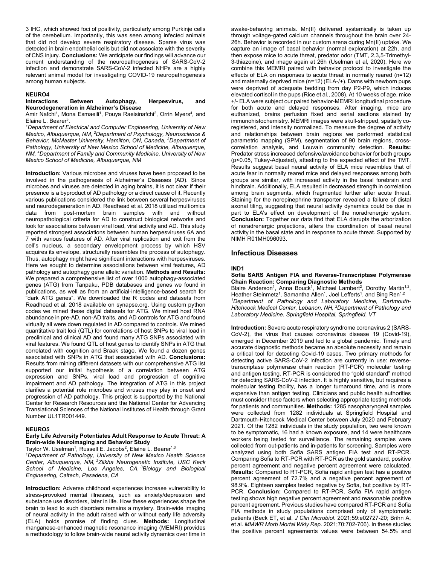3 IHC, which showed foci of positivity, particularly among Purkinje cells of the cerebellum. Importantly, this was seen among infected animals that did not develop severe respiratory disease. Sparse virus was detected in brain endothelial cells but did not associate with the severity of CNS injury. **Conclusions:** We anticipate our findings will advance our current understanding of the neuropathogenesis of SARS-CoV-2 infection and demonstrate SARS-CoV-2 infected NHPs are a highly relevant animal model for investigating COVID-19 neuropathogenesis among human subjects.

#### **NEURO4**

#### **Interactions Between Autophagy, Herpesvirus, and Neurodegeneration in Alzheimer's Disease**

Amir Nafchi<sup>1</sup>, Mona Esmaeili<sup>1</sup>, Pouya Raeisinafchi<sup>2</sup>, Orrin Myers<sup>4</sup>, and Elaine L. Bearer<sup>3</sup>.

*1 Department of Electrical and Computer Engineering, University of New Mexico, Albuquerque, NM, 2 Department of Psychology, Neuroscience & Behavior, McMaster University, Hamilton, ON, Canada, 3 Department of Pathology, University of New Mexico School of Medicine, Albuquerque, NM, 4 Department of Family and Community Medicine, University of New Mexico School of Medicine, Albuquerque, NM* 

**Introduction:** Various microbes and viruses have been proposed to be involved in the pathogenesis of Alzheimer's Diseases (AD). Since microbes and viruses are detected in aging brains, it is not clear if their presence is a byproduct of AD pathology or a direct cause of it. Recently various publications considered the link between several herpesviruses and neurodegeneration in AD. Readhead et al. 2018 utilized multiomics data from post-mortem brain samples with and without neuropathological criteria for AD to construct biological networks and look for associations between viral load, viral activity and AD. This study reported strongest associations between human herpesviruses 6A and 7 with various features of AD. After viral replication and exit from the cell's nucleus, a secondary envelopment process by which HSV acquires its envelope, structurally resembles the process of autophagy. Thus, autophagy might have significant interactions with herpesviruses. Here we sought to determine associations between viral features, AD pathology and autophagy gene allelic variation. **Methods and Results:** We prepared a comprehensive list of over 1000 autophagy-associated genes (ATG) from Tanpaku, PDB databases and genes we found in publications, as well as from an artificial-intelligence-based search for "dark ATG genes". We downloaded the R codes and datasets from Readhead et al. 2018 available on synapse.org. Using custom python codes we mined these digital datasets for ATG. We mined host RNA abundance in pre-AD, non-AD traits, and AD controls for ATG and found virtually all were down regulated in AD compared to controls. We mined quantitative trait loci (QTL) for correlations of host SNPs to viral load in preclinical and clinical AD and found many ATG SNPs associated with viral features. We found QTL of host genes to identify SNPs in ATG that correlated with cognition and Braak stage. We found a dozen genes associated with SNPs in ATG that associated with AD. **Conclusions:** Results from mining different datasets with our comprehensive ATG list supported our initial hypothesis of a correlation between ATG expression and SNPs, viral load and progression of cognitive impairment and AD pathology. The integration of ATG in this project clarifies a potential role microbes and viruses may play in onset and progression of AD pathology. This project is supported by the National Center for Research Resources and the National Center for Advancing Translational Sciences of the National Institutes of Health through Grant Number UL1TR001449.

#### **NEURO5**

#### **Early Life Adversity Potentiates Adult Response to Acute Threat: A Brain-wide Neuroimaging and Behavior Study**

Taylor W. Uselman<sup>1</sup>, Russell E. Jacobs<sup>2</sup>, Elaine L. Bearer<sup>1,3</sup>

*1 Department of Pathology, University of New Mexico Health Science Center, Albuquerque, NM, 2 Zilkha Neurogenetic Institute, USC Keck School of Medicine, Los Angeles, CA, 3 Biology and Biological Engineering, Caltech, Pasadena, CA* 

**Introduction:** Adverse childhood experiences increase vulnerability to stress-provoked mental illnesses, such as anxiety/depression and substance use disorders, later in life. How these experiences shape the brain to lead to such disorders remains a mystery. Brain-wide imaging of neural activity in the adult raised with or without early life adversity (ELA) holds promise of finding clues. **Methods:** Longitudinal manganese-enhanced magnetic resonance imaging (MEMRI) provides a methodology to follow brain-wide neural activity dynamics over time in awake-behaving animals. Mn(II) delivered systemically is taken up through voltage-gated calcium channels throughout the brain over 24- 26h. Behavior is recorded in our custom arena during Mn(II) uptake. We capture an image of basal behavior (normal exploration) at 22h, and then expose mice to acute threat, predator odor (TMT, 2,3,5-Trimethyl-3-thiazoine), and image again at 26h (Uselman et al, 2020). Here we combine this MEMRI paired with behavior protocol to investigate the effects of ELA on responses to acute threat in normally reared (n=12) and maternally deprived mice (n=12) (ELA-/+). Dams with newborn pups were deprived of adequate bedding from day P2-P9, which induces elevated cortisol in the pups (Rice et al., 2008). At 10 weeks of age, mice +/- ELA were subject our paired behavior-MEMRI longitudinal procedure for both acute and delayed responses. After imaging, mice are euthanized, brains perfusion fixed and serial sections stained by immunohistochemistry. MEMRI images were skull-stripped, spatially coregistered, and intensity normalized. To measure the degree of activity and relationships between brain regions we performed statistical parametric mapping (SPM), segmentation of 90 brain regions, crosscorrelation analysis, and Louvain community detection. **Results:**  Predator stress increased defensive/avoidance behavior for both groups (p<0.05, Tukey-Adjusted), attesting to the expected effect of the TMT. Results suggest basal neural activity of ELA mice resembles that of acute fear in normally reared mice and delayed responses among both groups are similar, with increased activity in the basal forebrain and hindbrain. Additionally, ELA resulted in decreased strength in correlation among brain segments, which fragmented further after acute threat. Staining for the norepinephrine transporter revealed a failure of distal axonal tiling, suggesting that neural activity dynamics could be due in part to ELA's effect on development of the noradrenergic system. **Conclusion:** Together our data find that ELA disrupts the arborization of noradrenergic projections, alters the coordination of basal neural activity in the basal state and in response to acute threat. Supported by NIMH R01MH096093.

#### **Infectious Diseases**

#### **IND1**

**Sofia SARS Antigen FIA and Reverse-Transcriptase Polymerase Chain Reaction: Comparing Diagnostic Methods** 

Blaire Anderson<sup>1</sup>, Anna Bouck<sup>1</sup>, Michael Lambert<sup>2</sup>, Dorothy Martin<sup>1,2</sup>, Heather Steinmetz<sup>1</sup>, Samantha Allen<sup>1</sup>, Joel Lefferts<sup>1</sup>, and Bing Ren<sup>1,2</sup> *1 Department of Pathology and Laboratory Medicine, Dartmouth-Hitchcock Medical Center, Lebanon, NH, 2 Department of Pathology and Laboratory Medicine. Springfield Hospital, Springfield, VT* 

**Introduction:** Severe acute respiratory syndrome coronavirus 2 (SARS-CoV-2), the virus that causes coronavirus disease 19 (Covid-19), emerged in December 2019 and led to a global pandemic. Timely and accurate diagnostic methods became an absolute necessity and remain a critical tool for detecting Covid-19 cases. Two primary methods for detecting active SARS-CoV-2 infection are currently in use: reversetranscriptase polymerase chain reaction (RT-PCR) molecular testing and antigen testing. RT-PCR is considered the "gold standard" method for detecting SARS-CoV-2 infection. It is highly sensitive, but requires a molecular testing facility, has a longer turnaround time, and is more expensive than antigen testing. Clinicians and public health authorities must consider these factors when selecting appropriate testing methods for patients and communities. **Methods:** 1285 nasopharyngeal samples were collected from 1282 individuals at Springfield Hospital and Dartmouth-Hitchcock Medical Center between July 2020 and February 2021. Of the 1282 individuals in the study population, two were known to be symptomatic, 16 had a known exposure, and 14 were healthcare workers being tested for surveillance. The remaining samples were collected from out-patients and in-patients for screening. Samples were analyzed using both Sofia SARS antigen FIA test and RT-PCR. Comparing Sofia to RT-PCR with RT-PCR as the gold standard, positive percent agreement and negative percent agreement were calculated. **Results:** Compared to RT-PCR, Sofia rapid antigen test has a positive percent agreement of 72.7% and a negative percent agreement of 98.9%. Eighteen samples tested negative by Sofia, but positive by RT-PCR. **Conclusion:** Compared to RT-PCR, Sofia FIA rapid antigen testing shows high negative percent agreement and reasonable positive percent agreement. Previous studies have compared RT-PCR and Sofia FIA methods in study populations comprised only of symptomatic patients (Beck ET, et al. *J Clin Microbiol*. 2021;59:e02727-20; Brihn A, et al. *MMWR Morb Mortal Wkly Rep*. 2021;70:702-706). In these studies the positive percent agreements values were between 54.5% and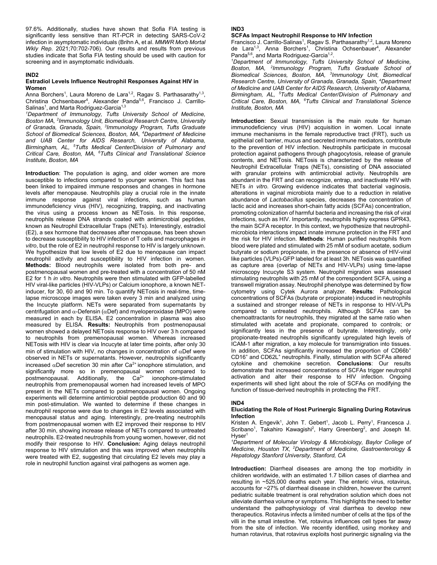97.6%. Additionally, studies have shown that Sofia FIA testing is significantly less sensitive than RT-PCR in detecting SARS-CoV-2 infection in asymptomatic individuals (Brihn A, et al. *MMWR Morb Mortal Wkly Rep*. 2021;70:702-706). Our results and results from previous studies indicate that Sofia FIA testing should be used with caution for screening and in asymptomatic individuals.

#### **IND2**

#### **Estradiol Levels Influence Neutrophil Responses Against HIV in Women**

Anna Borchers<sup>1</sup>, Laura Moreno de Lara<sup>1,2</sup>, Ragav S. Parthasarathy<sup>1,3</sup>, Christina Ochsenbauer<sup>4</sup>, Alexander Panda<sup>5,6</sup>, Francisco J. Carrillo-Salinas<sup>1</sup>, and Marta Rodriguez-Garcia<sup>1,3</sup>

*1 Department of Immunology, Tufts University School of Medicine, Boston MA, 2 Immunology Unit, Biomedical Research Centre, University of Granada, Granada, Spain, 3 Immunology Program, Tufts Graduate School of Biomedical Sciences, Boston, MA, 4 Department of Medicine and UAB Center for AIDS Research, University of Alabama, Birmingham, AL, 5 Tufts Medical Center/Division of Pulmonary and Critical Care, Boston, MA, 6 Tufts Clinical and Translational Science Institute, Boston, MA* 

**Introduction**: The population is aging, and older women are more susceptible to infections compared to younger women. This fact has been linked to impaired immune responses and changes in hormone levels after menopause. Neutrophils play a crucial role in the innate immune response against viral infections, such as human immunodeficiency virus (HIV), recognizing, trapping, and inactivating the virus using a process known as NETosis. In this response, neutrophils release DNA strands coated with antimicrobial peptides, known as Neutrophil Extracellular Traps (NETs). Interestingly, estradiol (E2), a sex hormone that decreases after menopause, has been shown to decrease susceptibility to HIV infection of T cells and macrophages *in vitro*, but the role of E2 in neutrophil response to HIV is largely unknown. We hypothesize that low levels of E2 due to menopause can impact neutrophil activity and susceptibility to HIV infection in women. **Methods:** Blood neutrophils were isolated from both pre- and postmenopausal women and pre-treated with a concentration of 50 nM E2 for 1 h *in vitro*. Neutrophils were then stimulated with GFP-labelled HIV viral-like particles (HIV-VLPs) or Calcium ionophore, a known NETinducer, for 30, 60 and 90 min. To quantify NETosis in real-time, timelapse microscope images were taken every 3 min and analyzed using the Incucyte platform. NETs were separated from supernatants by centrifugation and  $\alpha$ -Defensin ( $\alpha$ Def) and myeloperoxidase (MPO) were measured in each by ELISA. E2 concentration in plasma was also measured by ELISA. **Results:** Neutrophils from postmenopausal women showed a delayed NETosis response to HIV over 3 h compared to neutrophils from premenopausal women. Whereas increased NETosis with HIV is clear via Incucyte at later time points, after only 30 min of stimulation with HIV, no changes in concentration of  $\alpha$ Def were observed in NETs or supernatants. However, neutrophils significantly increased  $\alpha$ Def secretion 30 min after Ca<sup>2+</sup> ionophore stimulation, and significantly more so in premenopausal women compared to postmenopausal. Additionally, the  $Ca^{2+}$  ionophore-stimulated neutrophils from premenopausal women had increased levels of MPO present in the NETs compared to postmenopausal women. Ongoing experiments will determine antimicrobial peptide production 60 and 90 min post-stimulation. We wanted to determine if these changes in neutrophil response were due to changes in E2 levels associated with menopausal status and aging. Interestingly, pre-treating neutrophils from postmenopausal women with E2 improved their response to HIV after 30 min, showing increase release of NETs compared to untreated neutrophils. E2-treated neutrophils from young women, however, did not modify their response to HIV. **Conclusion:** Aging delays neutrophil response to HIV stimulation and this was improved when neutrophils were treated with E2, suggesting that circulating E2 levels may play a role in neutrophil function against viral pathogens as women age.

# **IND3**

#### **SCFAs Impact Neutrophil Response to HIV Infection**

Francisco J. Carrillo-Salinas<sup>1</sup>, Ragav S. Parthasarathy<sup>1,2</sup>, Laura Moreno de Lara<sup>1,3</sup>, Anna Borchers<sup>1</sup>, Christina Ochsenbauer<sup>4</sup>, Alexander Panda<sup>5,6</sup>, and Marta Rodriguez-Garcia<sup>1,2</sup>.

*1 Department of Immunology, Tufts University School of Medicine, Boston, MA, 2 Immunology Program, Tufts Graduate School of Biomedical Sciences, Boston, MA, 3 Immunology Unit, Biomedical Research Centre, University of Granada, Granada, Spain, 4 Department of Medicine and UAB Center for AIDS Research, University of Alabama, Birmingham, AL, 5 Tufts Medical Center/Division of Pulmonary and Critical Care, Boston, MA, 6 Tufts Clinical and Translational Science Institute, Boston, MA*

**Introduction**: Sexual transmission is the main route for human immunodeficiency virus (HIV) acquisition in women. Local innate immune mechanisms in the female reproductive tract (FRT), such us epithelial cell barrier, mucus and secreted immune mediators, contribute to the prevention of HIV infection. Neutrophils participate in mucosal protection against pathogens through phagocytosis, release of granule contents, and NETosis. NETosis is characterized by the release of Neutrophil Extracellular Traps (NETs), consisting of DNA associated with granular proteins with antimicrobial activity. Neutrophils are abundant in the FRT and can recognize, entrap, and inactivate HIV with NETs *in vitro*. Growing evidence indicates that bacterial vaginosis, alterations in vaginal microbiota mainly due to a reduction in relative abundance of *Lactobacillus* species, decreases the concentration of lactic acid and increases short-chain fatty acids (SCFAs) concentration, promoting colonization of harmful bacteria and increasing the risk of viral infections, such as HIV. Importantly, neutrophils highly express GPR43, the main SCFA receptor. In this context, we hypothesize that neutrophilmicrobiota interactions impact innate immune protection in the FRT and the risk for HIV infection. **Methods**: Human purified neutrophils from blood were plated and stimulated with 25 mM of sodium acetate, sodium butyrate or sodium propionate, in the presence or absence of HIV-viral like particles (VLPs)-GFP labeled for at least 3h. NETosis was quantified as capture area (overlap of NETs and HIV-VLPs) using time-lapse microscopy Incucyte S3 system. Neutrophil migration was assessed stimulating neutrophils with 25 mM of the correspondent SCFA, using a transwell migration assay. Neutrophil phenotype was determined by flow cytometry using Cytek Aurora analyzer. **Results**: Pathological concentrations of SCFAs (butyrate or propionate) induced in neutrophils a sustained and stronger release of NETs in response to HIV-VLPs compared to untreated neutrophils. Although SCFAs can be chemoattractants for neutrophils, they migrated at the same ratio when stimulated with acetate and propionate, compared to controls; or significantly less in the presence of butyrate. Interestingly, only propionate-treated neutrophils significantly upregulated high levels of ICAM-1 after migration, a key molecule for transmigration into tissues. In addition, SCFAs significantly increased the proportion of CD66b<sup>+</sup> CD16<sup>+</sup> and CD62L<sup>+</sup> neutrophils. Finally, stimulation with SCFAs altered cytokine and chemokine secretion. **Conclusions**: Our results demonstrate that increased concentrations of SCFAs trigger neutrophil activation and alter their response to HIV infection. Ongoing experiments will shed light about the role of SCFAs on modifying the function of tissue-derived neutrophils in protecting the FRT.

#### **IND4**

#### **Elucidating the Role of Host Purinergic Signaling During Rotavirus Infection**

Kristen A. Engevik<sup>1</sup>, John T. Gebert<sup>1</sup>, Jacob L. Perry<sup>1</sup>, Francesca J. Scribano<sup>1</sup>, Takahiro Kawagishi<sup>2</sup>, Harry Greenberg<sup>2</sup>, and Joseph M. Hyser<sup>1</sup>

<sup>1</sup>Department of Molecular Virology & Microbiology, Baylor College of *Medicine, Houston TX, 2 Department of Medicine, Gastroenterology & Hepatology Stanford University, Stanford, CA* 

**Introduction:** Diarrheal diseases are among the top morbidity in children worldwide, with an estimated 1.7 billion cases of diarrhea and resulting in ~525,000 deaths each year. The enteric virus, rotavirus, accounts for ~27% of diarrheal disease in children, however the current pediatric suitable treatment is oral rehydration solution which does not alleviate diarrhea volume or symptoms. This highlights the need to better understand the pathophysiology of viral diarrhea to develop new therapeutics. Rotavirus infects a limited number of cells at the tips of the villi in the small intestine. Yet, rotavirus influences cell types far away from the site of infection. We recently identified, using monkey and human rotavirus, that rotavirus exploits host purinergic signaling via the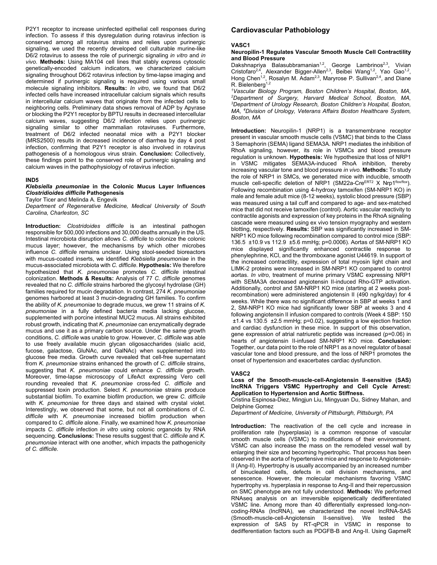P2Y1 receptor to increase uninfected epithelial cell responses during infection. To assess if this dysregulation during rotavirus infection is conserved among all rotavirus strains and relies upon purinergic signaling, we used the recently developed cell culturable murine-like D6/2 rotavirus to assess the role of purinergic signaling *in vitro* and *in vivo*. **Methods:** Using MA104 cell lines that stably express cytosolic genetically-encoded calcium indicators, we characterized calcium signaling throughout D6/2 rotavirus infection by time-lapse imaging and determined if purinergic signaling is required using various small molecule signaling inhibitors. **Results:** *In vitro*, we found that D6/2 infected cells have increased intracellular calcium signals which results in intercellular calcium waves that originate from the infected cells to neighboring cells. Preliminary data shows removal of ADP by Apyrase or blocking the P2Y1 receptor by BPTU results in decreased intercellular calcium waves, suggesting D6/2 infection relies upon purinergic signaling similar to other mammalian rotaviruses. Furthermore, treatment of D6/2 infected neonatal mice with a P2Y1 blocker (MRS2500) results in decreased incidence of diarrhea by day 4 post infection, confirming that P2Y1 receptor is also involved in rotavirus pathogenesis of a homologous virus strain. **Conclusion:** Collectively, these findings point to the conserved role of purinergic signaling and calcium waves in the pathophysiology of rotavirus infection.

#### **IND5**

#### *Klebsiella pneumoniae* **in the Colonic Mucus Layer Influences**  *Clostridioides difficile* **Pathogenesis**

Taylor Ticer and Melinda A. Engevik

*Department of Regenerative Medicine, Medical University of South Carolina, Charleston, SC* 

**Introduction:** *Clostridoides difficile* is an intestinal pathogen responsible for 500,000 infections and 30,000 deaths annually in the US. Intestinal microbiota disruption allows *C. difficile* to colonize the colonic mucus layer; however, the mechanisms by which other microbes influence *C. difficile* remains unclear. Using stool-seeded bioreactors with mucus-coated inserts, we identified *Klebsiella pneumoniae* in the mucus-associated microbiota with *C. difficile*. **Hypothesis:** We therefore hypothesized that *K. pneumoniae* promotes *C. difficile* intestinal colonization. **Methods & Results:** Analysis of 77 *C. difficile* genomes revealed that no *C. difficile* strains harbored the glycosyl hydrolase (GH) families required for mucin degradation. In contrast, 274 *K. pneumoniae* genomes harbored at least 3 mucin-degrading GH families. To confirm the ability of *K. pneumoniae* to degrade mucus, we grew 11 strains of *K. pneumoniae* in a fully defined bacteria media lacking glucose, supplemented with porcine intestinal MUC2 mucus. All strains exhibited robust growth, indicating that *K. pneumoniae* can enzymatically degrade mucus and use it as a primary carbon source. Under the same growth conditions, *C. difficile* was unable to grow. However, *C. difficile* was able to use freely available mucin glycan oligosaccharides (sialic acid, fucose, galactose, GluNAc, and GalNAc) when supplemented into glucose free media. Growth curve revealed that cell-free supernatant from *K. pneumoniae* strains enhanced the growth of *C. difficile* strains, suggesting that *K. pneumoniae* could enhance *C. difficile* growth. Moreover, time-lapse microscopy of LifeAct expressing Vero cell rounding revealed that *K. pneumoniae* cross-fed *C. difficile* and suppressed toxin production. Select *K. pneumoniae* strains produce substantial biofilm. To examine biofilm production, we grew *C. difficile* with *K. pneumoniae* for three days and stained with crystal violet. Interestingly, we observed that some, but not all combinations of *C. difficile* with *K. pneumoniae* increased biofilm production when compared to *C. difficile* alone. Finally, we examined how *K. pneumoniae* impacts *C. difficile* infection *in vitro* using colonic organoids by RNA sequencing. **Conclusions:** These results suggest that *C. difficile* and *K. pneumoniae* interact with one another, which impacts the pathogenicity of *C. difficile.* 

# **Cardiovascular Pathobiology**

#### **VASC1**

**Neuropilin-1 Regulates Vascular Smooth Muscle Cell Contractility and Blood Pressure**

Dakshnapriya Balasubbramanian<sup>1,2</sup>, George Lambrinos<sup>2,3</sup>, Vivian Cristofaro<sup>2,4</sup>, Alexander Bigger-Allen<sup>2,3</sup>, Beibei Wang<sup>1,2</sup>, Yao Gao<sup>1,2</sup>, Hong Chen<sup>1,2</sup>, Rosalyn M. Adam<sup>2,3</sup>, Maryrose P. Sullivan<sup>2,4</sup>, and Diane  $R.$  Bielenberg<sup>1,2</sup>

*1 Vascular Biology Program, Boston Children's Hospital, Boston, MA, 2 Department of Surgery, Harvard Medical School, Boston, MA, 3 Department of Urology Research, Boston Children's Hospital, Boston, MA, 4 Division of Urology, Veterans Affairs Boston Healthcare System, Boston, MA* 

**Introduction:** Neuropilin-1 (NRP1) is a transmembrane receptor present in vascular smooth muscle cells (VSMC) that binds to the Class 3 Semaphorin (SEMA) ligand SEMA3A. NRP1 mediates the inhibition of RhoA signaling, however, its role in VSMCs and blood pressure regulation is unknown. **Hypothesis:** We hypothesize that loss of NRP1 in VSMC mitigates SEMA3A-induced RhoA inhibition, thereby increasing vascular tone and blood pressure *in vivo*. **Methods:** To study the role of NRP1 in SMCs, we generated mice with inducible, smooth muscle cell-specific deletion of NRP1 (SM22a-CreERT2 X Nrp1flox/flox). Following recombination using 4-hydroxy tamoxifen (SM-NRP1 KO) in male and female adult mice (8-12 weeks), systolic blood pressure (SBP) was measured using a tail cuff and compared to age- and sex-matched mice that did not receive tamoxifen (control). Aortic vascular reactivity to contractile agonists and expression of key proteins in the RhoA signaling cascade were measured using ex vivo tension myography and western blotting, respectively. **Results:** SBP was significantly increased in SM-NRP1 KO mice following recombination compared to control mice (SBP: 136.5 ±10.9 vs 112.9 ±5.6 mmHg; p=0.0006). Aortas of SM-NRP1 KO mice displayed significantly enhanced contractile response to phenylephrine, KCl, and the thromboxane agonist U44619. In support of the increased contractility, expression of total myosin light chain and LIMK-2 proteins were increased in SM-NRP1 KO compared to control aortas. *In vitro*, treatment of murine primary VSMC expressing NRP1 with SEMA3A decreased angiotensin II-induced Rho-GTP activation. Additionally, control and SM-NRP1 KO mice (starting at 2 weeks postrecombination) were administered angiotensin II (490 ng/kg/day) for 4 weeks. While there was no significant difference in SBP at weeks 1 and 2, SM-NRP1 KO mice had significantly lower SBP at weeks 3 and 4 following angiotensin II infusion compared to controls (Week 4 SBP: 150 ±1.4 vs 130.5 ±2.5 mmHg; p=0.02), suggesting a low ejection fraction and cardiac dysfunction in these mice. In support of this observation, gene expression of atrial natriuretic peptide was increased (p=0.06) in hearts of angiotensin II-infused SM-NRP1 KO mice. **Conclusion:** Together, our data point to the role of NRP1 as a novel regulator of basal vascular tone and blood pressure, and the loss of NRP1 promotes the onset of hypertension and exacerbates cardiac dysfunction.

#### **VASC2**

#### **Loss of the Smooth-muscle-cell-Angiotensin II-sensitive (SAS) lncRNA Triggers VSMC Hypertrophy and Cell Cycle Arrest: Application to Hypertension and Aortic Stiffness.**

Cristina Espinosa-Diez, Mingjun Liu, Mingyuan Du, Sidney Mahan, and Delphine Gomez

*Department of Medicine, University of Pittsburgh, Pittsburgh, PA* 

**Introduction:** The reactivation of the cell cycle and increase in proliferation rate (hyperplasia) is a common response of vascular smooth muscle cells (VSMC) to modifications of their environment. VSMC can also increase the mass on the remodeled vessel wall by enlarging their size and becoming hypertrophic. That process has been observed in the aorta of hypertensive mice and response to Angiotensin-II (Ang-II). Hypertrophy is usually accompanied by an increased number of binucleated cells, defects in cell division mechanisms, and senescence. However, the molecular mechanisms favoring VSMC hypertrophy vs. hyperplasia in response to Ang-II and their repercussion on SMC phenotype are not fully understood. **Methods:** We performed RNAseq analysis on an irreversible epigenetically dedifferentiated VSMC line. Among more than 40 differentially expressed long-noncoding-RNAs (lncRNA), we characterized the novel lncRNA-SAS (Smooth-muscle-cell-Angiotensin II-sensitive). We tested the expression of SAS by RT-qPCR in VSMC in response to dedifferentiation factors such as PDGFB-B and Ang-II. Using GapmeR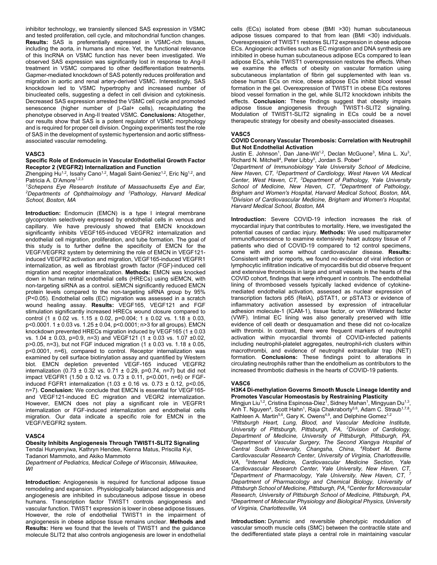inhibitor technology, we transiently silenced SAS expression in VSMC and tested proliferation, cell cycle, and mitochondrial function changes. **Results:** SAS is preferentially expressed in VSMC-rich tissues, including the aorta, in humans and mice. Yet, the functional relevance of this lncRNA on VSMC function has never been investigated. We observed SAS expression was significantly lost in response to Ang-II treatment in VSMC compared to other dedifferentiation treatments. Gapmer-mediated knockdown of SAS potently reduces proliferation and migration in aortic and renal artery-derived VSMC. Interestingly, SAS knockdown led to VSMC hypertrophy and increased number of binucleated cells, suggesting a defect in cell division and cytokinesis. Decreased SAS expression arrested the VSMC cell cycle and promoted senescence (higher number of  $\beta$ -Gal+ cells), recapitulating the phenotype observed in Ang-II treated VSMC. **Conclusions:** Altogether, our results show that SAS is a potent regulator of VSMC morphology and is required for proper cell division. Ongoing experiments test the role of SAS in the development of systemic hypertension and aortic stiffnessassociated vascular remodeling.

#### **VASC3**

#### **Specific Role of Endomucin in Vascular Endothelial Growth Factor Receptor 2 (VEGFR2) Internalization and Function**

Zhengping Hu $^{1,2}$ , Issahy Cano $^{1,2}$ , Magali Saint-Geniez $^{1,2}$ , Eric Ng $^{1,2}$ , and Patricia A. D'Amore<sup>1,2,3</sup>

<sup>1</sup> Schepens Eye Research Institute of Massachusetts Eye and Ear,<br><sup>2</sup> Denartments of Onbthalmology and <sup>3</sup> Pathology, Hanyard Medical *Departments of Ophthalmology and 3 Pathology, Harvard Medical School, Boston, MA* 

**Introduction:** Endomucin (EMCN) is a type I integral membrane glycoprotein selectively expressed by endothelial cells in venous and capillary. We have previously showed that EMCN knockdown significantly inhibits VEGF165-induced VEGFR2 internalization and endothelial cell migration, proliferation, and tube formation. The goal of this study is to further define the specificity of EMCN for the VEGF/VEGFR2 system by determining the role of EMCN in VEGF121 induced VEGFR2 activation and migration, VEGF165-induced VEGFR1 internalization, as well as fibroblast growth factor (FGF)-induced cell migration and receptor internalization. **Methods:** EMCN was knocked down in human retinal endothelial cells (HRECs) using siEMCN, with non-targeting siRNA as a control. siEMCN significantly reduced EMCN protein levels compared to the non-targeting siRNA group by 95% (P<0.05). Endothelial cells (EC) migration was assessed in a scratch wound healing assay. **Results:** VEGF165, VEGF121 and FGF stimulation significantly increased HRECs wound closure compared to control (1  $\pm$  0.02 vs. 1.15  $\pm$  0.02, p=0.004; 1  $\pm$  0.02 vs. 1.18  $\pm$  0.03, p<0.0001. 1 ± 0.03 vs. 1.25 ± 0.04, p<0.0001; n>3 for all groups). EMCN knockdown prevented HRECs migration induced by VEGF165 (1  $\pm$  0.03 vs. 1.04 ± 0.03, p=0.9, n=3) and VEGF121 (1 ± 0.03 vs. 1.07 ±0.02, p>0.05, n=3), but not FGF induced migration (1 ± 0.03 vs. 1.18 ± 0.05, p<0.0001, n=6), compared to control. Receptor internalization was examined by cell surface biotinylation assay and quantified by Western blot. EMCN depletion prevented VEGF-165 induced VEGFR2 internalization (0.73  $\pm$  0.32 vs. 0.71  $\pm$  0.29, p=0.74, n=7) but did not impact VEGFR1 (1.50 ± 0.12 vs. 0.73 ± 0.11, p<0.001, n=6) or FGFinduced FGFR1 internalization  $(1.03 \pm 0.16 \text{ vs. } 0.73 \pm 0.12, \text{ p} < 0.05,$ n=7). **Conclusion:** We conclude that EMCN is essential for VEGF165 and VEGF121-induced EC migration and VEGR2 internalization. However, EMCN does not play a significant role in VEGFR1 internalization or FGF-induced internalization and endothelial cells migration. Our data indicate a specific role for EMCN in the VEGF/VEGFR2 system.

#### **VASC4**

#### **Obesity Inhibits Angiogenesis Through TWIST1-SLIT2 Signaling**  Tendai Hunyenyiwa, Kathryn Hendee, Kienna Matus, Priscilla Kyi,

Tadanori Mammoto, and Akiko Mammoto

*Department of Pediatrics, Medical College of Wisconsin, Milwaukee, WI* 

**Introduction:** Angiogenesis is required for functional adipose tissue remodeling and expansion. Physiologically balanced adipogenesis and angiogenesis are inhibited in subcutaneous adipose tissue in obese humans. Transcription factor TWIST1 controls angiogenesis and vascular function. TWIST1 expression is lower in obese adipose tissues. However, the role of endothelial TWIST1 in the impairment of angiogenesis in obese adipose tissue remains unclear. **Methods and Results:** Here we found that the levels of TWIST1 and the guidance molecule SLIT2 that also controls angiogenesis are lower in endothelial cells (ECs) isolated from obese (BMI >30) human subcutaneous adipose tissues compared to that from lean (BMI <30) individuals. Overexpression of TWIST1 restores SLIT2 expression in obese adipose ECs. Angiogenic activities such as EC migration and DNA synthesis are inhibited in obese human subcutaneous adipose ECs compared to lean adipose ECs, while TWIST1 overexpression restores the effects. When we examine the effects of obesity on vascular formation using subcutaneous implantation of fibrin gel supplemented with lean vs. obese human ECs on mice, obese adipose ECs inhibit blood vessel formation in the gel. Overexpression of TWIST1 in obese ECs restores blood vessel formation in the gel, while SLIT2 knockdown inhibits the effects. **Conclusion:** These findings suggest that obesity impairs adipose tissue angiogenesis through TWIST1-SLIT2 signaling. Modulation of TWIST1-SLIT2 signaling in ECs could be a novel therapeutic strategy for obesity and obesity-associated diseases.

#### **VASC5**

#### **COVID Coronary Vascular Thrombosis: Correlation with Neutrophil But Not Endothelial Activation**

Justin E. Johnson<sup>1</sup>, Dan Jane-Wit<sup>1,2</sup>, Declan McGuone<sup>3</sup>, Mina L. Xu<sup>3</sup>, Richard N. Mitchell<sup>4</sup>, Peter Libby<sup>5</sup>, Jordan S. Pober<sup>1</sup>

*1 Department of Immunobiology, Yale University School of Medicine, New Haven, CT, 2 Department of Cardiology, West Haven VA Medical Center, West Haven, CT, 3 Department of Pathology, Yale University School of Medicine, New Haven, CT, 4 Department of Pathology, Brigham and Women's Hospital, Harvard Medical School, Boston, MA, 5 Division of Cardiovascular Medicine, Brigham and Women's Hospital, Harvard Medical School, Boston, MA* 

**Introduction:** Severe COVID-19 infection increases the risk of myocardial injury that contributes to mortality. Here, we investigated the potential causes of cardiac injury. **Methods:** We used multiparameter immunofluorescence to examine extensively heart autopsy tissue of 7 patients who died of COVID-19 compared to 12 control specimens, some with and some without cardiovascular disease. **Results:** Consistent with prior reports, we found no evidence of viral infection or lymphocytic infiltration indicative of myocarditis but did observe frequent and extensive thrombosis in large and small vessels in the hearts of the COVID cohort, findings that were infrequent in controls. The endothelial lining of thrombosed vessels typically lacked evidence of cytokinemediated endothelial activation, assessed as nuclear expression of transcription factors p65 (RelA), pSTAT1, or pSTAT3 or evidence of inflammatory activation assessed by expression of intracellular adhesion molecule-1 (ICAM-1), tissue factor, or von Willebrand factor (VWF). Intimal EC lining was also generally preserved with little evidence of cell death or desquamation and these did not co-localize with thrombi. In contrast, there were frequent markers of neutrophil activation within myocardial thrombi of COVID-infected patients including neutrophil-platelet aggregates, neutrophil-rich clusters within macrothrombi, and evidence of neutrophil extracellular trap (NET) formation. **Conclusions:** These findings point to alterations in circulating neutrophils rather than the endothelium as contributors to the increased thrombotic diathesis in the hearts of COVID-19 patients.

#### **VASC6**

### **H3K4 Di-methylation Governs Smooth Muscle Lineage Identity and Promotes Vascular Homeostasis by Restraining Plasticity**

Mingjun Liu<sup>1,2</sup>, Cristina Espinosa-Diez<sup>1</sup>, Sidney Mahan<sup>1</sup>, Mingyuan Du<sup>1,3</sup>, Anh T. Nguyen<sup>4</sup>, Scott Hahn<sup>1</sup>, Raja Chakraborty<sup>5,6</sup>, Adam C. Straub<sup>1,7,8</sup>, Kathleen A. Martin<sup>5,6</sup>, Gary K. Owens<sup>4,9</sup>, and Delphine Gomez<sup>1,2</sup>

*1 Pittsburgh Heart, Lung, Blood, and Vascular Medicine Institute, University of Pittsburgh, Pittsburgh, PA, 2 Division of Cardiology,*  Department of Medicine, University of Pittsburgh, Pittsburgh, PA, *Department of Vascular Surgery, The Second Xiangya Hospital of Central South University, Changsha, China, 4 Robert M. Berne Cardiovascular Research Center, University of Virginia, Charlottesville, VA, 5 Internal Medicine, Cardiovascular Medicine Section, Yale Cardiovascular Research Center, Yale University, New Haven, CT, 6 Department of Pharmacology, Yale University, New Haven, CT, 7 Department of Pharmacology and Chemical Biology, University of Pittsburgh School of Medicine, Pittsburgh, PA, 8 Center for Microvascular*  **Research, University of Pittsburgh School of Medicine, Pittsburgh, PA,** *Department of Molecular Physiology and Biological Physics, University of Virginia, Charlottesville, VA* 

**Introduction:** Dynamic and reversible phenotypic modulation of vascular smooth muscle cells (SMC) between the contractile state and the dedifferentiated state plays a central role in maintaining vascular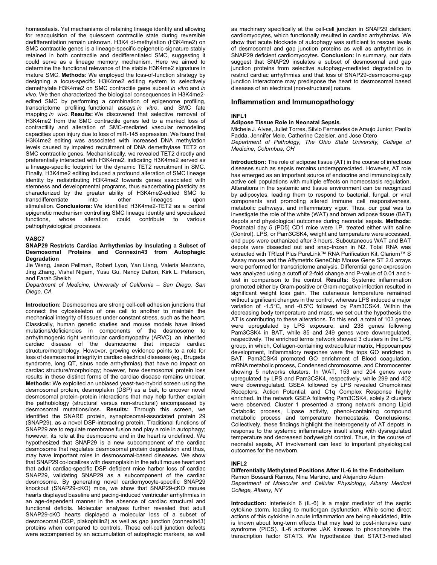homeostasis. Yet mechanisms of retaining lineage identity and allowing for reacquisition of the quiescent contractile state during reversible dedifferentiation remain unknown. H3K4 di-methylation (H3K4me2) on SMC contractile genes is a lineage-specific epigenetic signature stably retained in both contractile and dedifferentiated SMC, suggesting it could serve as a lineage memory mechanism. Here we aimed to determine the functional relevance of the stable H3K4me2 signature in mature SMC. **Methods:** We employed the loss-of-function strategy by designing a locus-specific H3K4me2 editing system to selectively demethylate H3K4me2 on SMC contractile gene subset *in vitro* and *in vivo*. We then characterized the biological consequences in H3K4me2 edited SMC by performing a combination of epigenome profiling, transcriptome profiling*,* functional assays *in vitro*, and SMC fate mapping *in vivo*. **Results:** We discovered that selective removal of H3K4me2 from the SMC contractile genes led to a marked loss of contractility and alteration of SMC-mediated vascular remodeling capacities upon injury due to loss of miR-145 expression. We found that H3K4me2 editing was associated with increased DNA methylation levels caused by impaired recruitment of DNA demethylase TET2 on SMC contractile genes. Mechanistically, we revealed TET2 directly and preferentially interacted with H3K4me2, indicating H3K4me2 served as a lineage-specific footprint for the dynamic TET2 recruitment in SMC. Finally, H3K4me2 editing induced a profound alteration of SMC lineage identity by redistributing H3K4me2 towards genes associated with stemness and developmental programs, thus exacerbating plasticity as characterized by the greater ability of H3K4me2-edited SMC to transdifferentiate into other lineages upon stimulation. **Conclusions:** We identified H3K4me2-TET2 as a central epigenetic mechanism controlling SMC lineage identity and specialized functions, whose alteration could contribute to various pathophysiological processes.

# **VASC7**

#### **SNAP29 Restricts Cardiac Arrhythmias by Insulating a Subset of Desmosomal Proteins and Connexin43 from Autophagic Degradation**

Jie Wang, Jason Pellman, Robert Lyon, Yan Liang, Valeria Mezzano, Jing Zhang, Vishal Nigam, Yusu Gu, Nancy Dalton, Kirk L. Peterson, and Farah Sheikh

*Department of Medicine, University of California – San Diego, San Diego, CA* 

**Introduction:** Desmosomes are strong cell-cell adhesion junctions that connect the cytoskeleton of one cell to another to maintain the mechanical integrity of tissues under constant stress, such as the heart. Classically, human genetic studies and mouse models have linked mutations/deficiencies in components of the desmosome to arrhythmogenic right ventricular cardiomyopathy (ARVC), an inherited cardiac disease of the desmosome that impacts cardiac structure/morphology. However, growing evidence points to a role for loss of desmosomal integrity in cardiac electrical diseases (eg., Brugada syndrome, long QT, sinus node arrhythmias) that have no impact on cardiac structure/morphology; however, how desmosomal protein loss results in these distinct forms of the cardiac disease remains unclear. **Methods:** We exploited an unbiased yeast-two-hybrid screen using the desmosomal protein, desmoplakin (DSP) as a bait, to uncover novel desmosomal protein-protein interactions that may help further explain the pathobiology (structural versus non-structural) encompassed by desmosomal mutations/loss. **Results:** Through this screen, we identified the SNARE protein, synaptosomal-associated protein 29 (SNAP29), as a novel DSP-interacting protein. Traditional functions of SNAP29 are to regulate membrane fusion and play a role in autophagy; however, its role at the desmosome and in the heart is undefined. We hypothesized that SNAP29 is a new subcomponent of the cardiac desmosome that regulates desmosomal protein degradation and thus, may have important roles in desmosomal-based diseases. We show that SNAP29 co-localizes with desmoplakin in the adult mouse heart and that adult cardiac-specific DSP deficient mice harbor loss of cardiac SNAP29, validating SNAP29 as a subcomponent of the cardiac desmosome. By generating novel cardiomyocyte-specific SNAP29 knockout (SNAP29-cKO) mice, we show that SNAP29-cKO mouse hearts displayed baseline and pacing-induced ventricular arrhythmias in an age-dependent manner in the absence of cardiac structural and functional deficits. Molecular analyses further revealed that adult SNAP29-cKO hearts displayed a molecular loss of a subset of desmosomal (DSP, plakophilin2) as well as gap junction (connexin43) proteins when compared to controls. These cell-cell junction defects were accompanied by an accumulation of autophagic markers, as well

as machinery specifically at the cell-cell junction in SNAP29 deficient cardiomyocytes, which functionally resulted in cardiac arrhythmias. We show that acute blockade of autophagy was sufficient to rescue levels of desmosomal and gap junction proteins as well as arrhythmias in SNAP29 deficient cardiomyocytes. **Conclusion:** In summary, our data suggest that SNAP29 insulates a subset of desmosomal and gap junction proteins from selective autophagy-mediated degradation to restrict cardiac arrhythmias and that loss of SNAP29-desmosome-gap junction interactome may predispose the heart to desmosomal based diseases of an electrical (non-structural) nature.

# **Inflammation and Immunopathology**

### **INFL1**

#### **Adipose Tissue Role in Neonatal Sepsis**.

Michele J. Alves, Juliet Torres, Silvio Fernandes de Araujo Junior, Paollo Fadda, Jennifer Mele, Catherine Czeisler, and Jose Otero

*Department of Pathology, The Ohio State University, College of Medicine, Columbus, OH* 

**Introduction:** The role of adipose tissue (AT) in the course of infectious diseases such as sepsis remains underappreciated. However, AT role has emerged as an important source of endocrine and immunologically active cell populations with multiple effects on homeostasis regulation. Alterations in the systemic and tissue environment can be recognized by adipocytes, leading them to respond to bacterial, fungal, or viral components and promoting altered immune cell responsiveness, metabolic pathways, and inflammatory vigor. Thus, our goal was to investigate the role of the white (WAT) and brown adipose tissue (BAT) depots and physiological outcomes during neonatal sepsis. **Methods:** Postnatal day 5 (PD5) CD1 mice were I.P. treated either with saline (Control), LPS, or Pam3CSK4, weight and temperature were accessed, and pups were euthanized after 3 hours. Subcutaneous WAT and BAT depots were dissected out and snap-frozen in N2. Total RNA was extracted with TRIzol Plus PureLink™ RNA Purification Kit. Clariom™ S Assay mouse and the Affymetrix GeneChip Mouse Gene ST 2.0 arrays were performed for transcriptome analysis. Differential gene expression was analyzed using a cutoff of 2-fold change and P-value of 0.01 and ttest in comparison to the control. **Results:** Systemic inflammation promoted either by Gram-positive or Gram-negative infection resulted in significant weight loss gain. The cutaneous temperature remained without significant changes in the control, whereas LPS induced a major variation of -1.5°C, and -0.5°C followed by Pam3CSK4. Within the decreasing body temperature and mass, we set out the hypothesis the AT is contributing to these alterations. To this end, a total of 103 genes were upregulated by LPS exposure, and 238 genes following Pam3CSK4 in BAT, while 85 and 249 genes were downregulated, respectively. The enriched terms network showed 3 clusters in the LPS group, in which, Collagen-containing extracellular matrix, Hippocampus development, Inflammatory response were the tops GO enriched in BAT. Pam3CSK4 promoted GO enrichment of Blood coagulation, mRNA metabolic process, Condensed chromosome, and Chromocenter showing 5 networks clusters. In WAT, 153 and 204 genes were upregulated by LPS and Pam3CSK4, respectively, while 299 and 402 were downregulated. GSEA followed by LPS revealed Chemokines Receptors, Action Potential, and C1q Complex Response highly enriched. In the network GSEA following Pam3CSK4, solely 2 clusters were observed. Cluster 1 presented a strong network among Lipid Catabolic process, Lipase activity, phenol-containing compound metabolic process and temperature homeostasis. **Conclusions:**  Collectively, these findings highlight the heterogeneity of AT depots in response to the systemic inflammatory insult along with dysregulated temperature and decreased bodyweight control. Thus, in the course of neonatal sepsis, AT involvement can lead to important physiological outcomes for the newborn.

# **INFL2**

**Differentially Methylated Positions After IL-6 in the Endothelium**  Ramon Bossardi Ramos, Nina Martino, and Alejandro Adam *Department of Molecular and Cellular Physiology, Albany Medical College, Albany, NY* 

**Introduction:** Interleukin 6 (IL-6) is a major mediator of the septic cytokine storm, leading to multiorgan dysfunction. While some direct actions of this cytokine in acute inflammation are being elucidated, little is known about long-term effects that may lead to post-intensive care syndrome (PICS). IL-6 activates JAK kinases to phosphorylate the transcription factor STAT3. We hypothesize that STAT3-mediated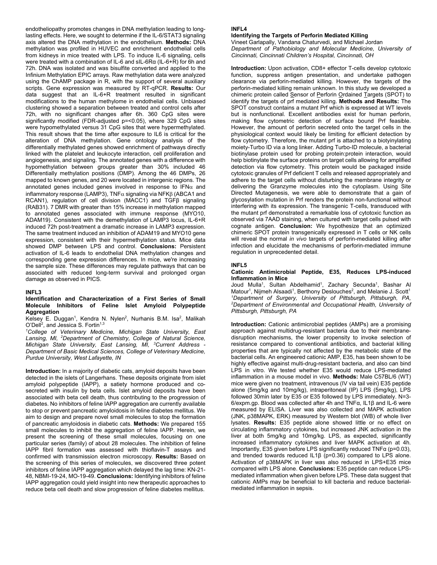endotheliopathy promotes changes in DNA methylation leading to longlasting effects. Here, we sought to determine if the IL-6/STAT3 signaling axis altered the DNA methylation in the endothelium. **Methods:** DNA methylation was profiled in HUVEC and enrichment endothelial cells from kidneys in mice treated with LPS. To induce IL-6 signaling, cells were treated with a combination of IL-6 and sIL-6Rα (IL-6+R) for 6h and 72h. DNA was isolated and was bisulfite converted and applied to the Infinium Methylation EPIC arrays. Raw methylation data were analyzed using the ChAMP package in R, with the support of several auxiliary scripts. Gene expression was measured by RT-qPCR. **Results:** Our data suggest that an IL-6+R treatment resulted in significant modifications to the human methylome in endothelial cells. Unbiased clustering showed a separation between treated and control cells after 72h, with no significant changes after 6h. 360 CpG sites were significantly modified (FDR-adjusted p=<0.05), where 329 CpG sites were hypomethylated versus 31 CpG sites that were hypermethylated. This result shows that the time after exposure to IL6 is critical for the alteration of DNA methylation. Gene ontology analysis of the differentially methylated genes showed enrichment of pathways directly linked with the platelet and leukocyte interaction, cell proliferation and angiogenesis, and signaling. The annotated genes with a difference with hypomethylation between groups greater than 30% included 46 Differentially methylation positions (DMP). Among the 46 DMPs, 26 mapped to known genes, and 20 were located in intergenic regions. The annotated genes included genes involved in response to IFN $\alpha$  and inflammatory response (LAMP3), TNF $\alpha$  signaling via NFK $\beta$  (ABCA1 and RCAN1), regulation of cell division (MACC1) and TGFβ signaling (RAB31). 7 DMR with greater than 15% increase in methylation mapped to annotated genes associated with immune response (MYO10, ADAM19). Consistent with the demethylation of LAMP3 locus, IL-6+R induced 72h post-treatment a dramatic increase in LAMP3 expression. The same treatment induced an inhibition of ADAM19 and MYO10 gene expression, consistent with their hypermethylation status. Mice data showed DMP between LPS and control. **Conclusions:** Persistent activation of IL-6 leads to endothelial DNA methylation changes and corresponding gene expression differences. In mice, we're increasing the sample size. These differences may regulate pathways that can be associated with reduced long-term survival and prolonged organ damage as observed in PICS.

#### **INFL3**

### **Identification and Characterization of a First Series of Small Molecule Inhibitors of Feline Islet Amyloid Polypeptide Aggregation**

#### Kelsey E. Duggan<sup>1</sup>, Kendra N. Nylen<sup>2</sup>, Nurhanis B.M. Isa<sup>2</sup>, Malikah O'Dell<sup>2</sup>, and Jessica S. Fortin<sup>1,3</sup>

<sup>1</sup>College of Veterinary Medicine, Michigan State University, East *Lansing, MI, 2 Department of Chemistry, College of Natural Science, Michigan State University, East Lansing, MI, 3 Current Address - Department of Basic Medical Sciences, College of Veterinary Medicine, Purdue University, West Lafayette, IN* 

**Introduction:** In a majority of diabetic cats, amyloid deposits have been detected in the islets of Langerhans. These deposits originate from islet amyloid polypeptide (IAPP), a satiety hormone produced and cosecreted with insulin by beta cells. Islet amyloid deposits have been associated with beta cell death, thus contributing to the progression of diabetes. No inhibitors of feline IAPP aggregation are currently available to stop or prevent pancreatic amyloidosis in feline diabetes mellitus. We aim to design and prepare novel small molecules to stop the formation of pancreatic amyloidosis in diabetic cats. **Methods:** We prepared 155 small molecules to inhibit the aggregation of feline IAPP. Herein, we present the screening of these small molecules, focusing on one particular series (family) of about 28 molecules. The inhibition of feline IAPP fibril formation was assessed with thioflavin-T assays and confirmed with transmission electron microscopy. **Results:** Based on the screening of this series of molecules, we discovered three potent inhibitors of feline IAPP aggregation which delayed the lag time: KN-21- 48, NBMI-19-24, MO-19-49. **Conclusions:** Identifying inhibitors of feline IAPP aggregation could yield insight into new therapeutic approaches to reduce beta cell death and slow progression of feline diabetes mellitus.

# **INFL4**

# **Identifying the Targets of Perforin Mediated Killing**

Vineet Garlapally, Vandana Chaturvedi, and Michael Jordan *Department of Pathobiology and Molecular Medicine, University of Cincinnati, Cincinnati Children's Hospital, Cincinnati, OH* 

**Introduction:** Upon activation, CD8+ effector T-cells develop cytotoxic function, suppress antigen presentation, and undertake pathogen clearance via perforin-mediated killing. However, the targets of the perforin-mediated killing remain unknown. In this study we developed a chimeric protein called Sensor of Perforin Ordained Targets (SPOT) to identify the targets of prf mediated killing. **Methods and Results:** The SPOT construct contains a mutant Prf which is expressed at WT levels but is nonfunctional. Excellent antibodies exist for human perforin, making flow cytometric detection of surface bound Prf feasible. However, the amount of perforin secreted onto the target cells in the physiological context would likely be limiting for efficient detection by flow cytometry. Therefore, the mutant prf is attached to a biotyinylating moiety-Turbo ID via a long linker. Adding Turbo-ID molecule, a bacterial biotinylase protein used for probing protein:protein interaction, would help biotinylate the surface proteins on target cells allowing for amplified detection via flow cytometry. This protein would be packaged inside cytotoxic granules of Prf deficient T cells and released appropriately and adhere to the target cells without disturbing the membrane integrity or delivering the Granzyme molecules into the cytoplasm. Using Site Directed Mutagenesis, we were able to demonstrate that a gain of glycosylation mutation in Prf renders the protein non-functional without interfering with its expression. The transgenic T-cells, transduced with the mutant prf demonstrated a remarkable loss of cytotoxic function as observed via 7AAD staining, when cultured with target cells pulsed with cognate antigen. **Conclusion:** We hypothesize that an optimized chimeric SPOT protein transgenically expressed in T cells or NK cells will reveal the normal *in vivo* targets of perforin-mediated killing after infection and elucidate the mechanisms of perforin-mediated immune regulation in unprecedented detail.

#### **INFL5**

#### **Cationic Antimicrobial Peptide, E35, Reduces LPS-induced Inflammation in Mice**

Joud Mulla<sup>1</sup>, Sultan Abdelhamid<sup>1</sup>, Zachary Secunda<sup>1</sup>, Bashar Al Matour<sup>1</sup>, Nijmeh Alsaadi<sup>1</sup>, Berthony Deslouches<sup>2</sup>, and Melanie J. Scott<sup>1</sup> *1 Department of Surgery, University of Pittsburgh, Pittsburgh, PA, 2 Department of Environmental and Occupational Health, University of Pittsburgh, Pittsburgh, PA* 

**Introduction:** Cationic antimicrobial peptides (AMPs) are a promising approach against multidrug-resistant bacteria due to their membranedisruption mechanisms, the lower propensity to invoke selection of resistance compared to conventional antibiotics, and bacterial killing properties that are typically not affected by the metabolic state of the bacterial cells. An engineered cationic AMP, E35, has been shown to be highly effective against multi-drug-resistant bacteria, and also can bind LPS in vitro. We tested whether E35 would reduce LPS-mediated inflammation in a mouse model in vivo. **Methods:** Male C57BL/6 (WT) mice were given no treatment, intravenous (IV via tail vein) E35 peptide alone (5mg/kg and 10mg/kg), intraperitoneal (IP) LPS (5mg/kg), LPS followed 30min later by E35 or E35 followed by LPS immediately. N=3- 6/expm.gp. Blood was collected after 4h and TNFα, IL1β and IL-6 were measured by ELISA. Liver was also collected and MAPK activation (JNK, p38MAPK, ERK) measured by Western blot (WB) of whole liver lysates. **Results:** E35 peptide alone showed little or no effect on circulating inflammatory cytokines, but increased JNK activation in the liver at both 5mg/kg and 10mg/kg. LPS, as expected, significantly increased inflammatory cytokines and liver MAPK activation at 4h. Importantly, E35 given before LPS significantly reduced TNFα (p=0.03), and trended towards reduced IL1β (p=0.36) compared to LPS alone. Activation of p38MAPK in liver was also reduced in LPS+E35 mice compared with LPS alone. **Conclusions:** E35 peptide can reduce LPSmediated inflammation when given before LPS. These data suggest that cationic AMPs may be beneficial to kill bacteria and reduce bacterialmediated inflammation in sepsis.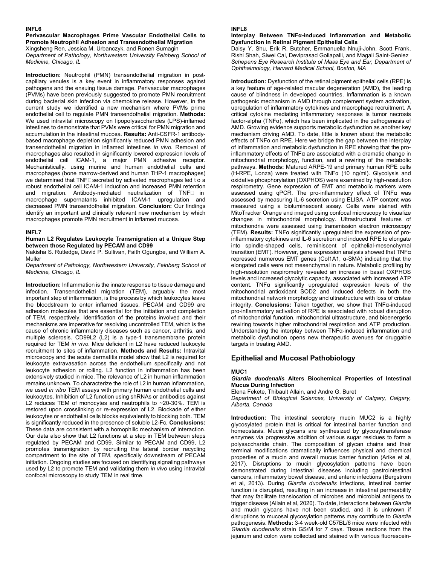#### **INFL6**

# **Perivascular Macrophages Prime Vascular Endothelial Cells to Promote Neutrophil Adhesion and Transendothelial Migration**  Xingsheng Ren, Jessica M. Urbanczyk, and Ronen Sumagin

*Department of Pathology, Northwestern University Feinberg School of Medicine, Chicago, IL* 

**Introduction:** Neutrophil (PMN) transendothelial migration in postcapillary venules is a key event in inflammatory responses against pathogens and the ensuing tissue damage. Perivascular macrophages (PVMs) have been previously suggested to promote PMN recruitment during bacterial skin infection via chemokine release. However, in the current study we identified a new mechanism where PVMs prime endothelial cell to regulate PMN transendothelial migration. **Methods:**  We used intravital microscopy on lipopolysaccharides (LPS)-inflamed intestines to demonstrate that PVMs were critical for PMN migration and accumulation in the intestinal mucosa. **Results:** Anti-CSFR-1 antibodybased macrophage depletion significantly reduced PMN adhesion and transendothelial migration in inflamed intestines *in vivo*. Removal of macrophages also resulted in significantly lowered expression levels of endothelial cell ICAM-1, a major PMN adhesive receptor. Mechanistically, using murine and human endothelial cells and macrophages (bone marrow-derived and human THP-1 macrophages) we determined that TNF secreted by activated macrophages led to a robust endothelial cell ICAM-1 induction and increased PMN retention and migration. Antibody-mediated neutralization of TNF

In macrophage supernatants inhibited ICAM-1 upregulation and decreased PMN transendothelial migration. **Conclusion:** Our findings identify an important and clinically relevant new mechanism by which macrophages promote PMN recruitment in inflamed mucosa.

### **INFL7**

#### **Human L2 Regulates Leukocyte Transmigration at a Unique Step between those Regulated by PECAM and CD99**

Nakisha S. Rutledge, David P. Sullivan, Faith Ogungbe, and William A. Muller

*Department of Pathology, Northwestern University, Feinberg School of Medicine, Chicago, IL* 

**Introduction:** Inflammation is the innate response to tissue damage and infection. Transendothelial migration (TEM), arguably the most important step of inflammation, is the process by which leukocytes leave the bloodstream to enter inflamed tissues. PECAM and CD99 are adhesion molecules that are essential for the initiation and completion of TEM, respectively. Identification of the proteins involved and their mechanisms are imperative for resolving uncontrolled TEM, which is the cause of chronic inflammatory diseases such as cancer, arthritis, and multiple sclerosis. CD99L2 (L2) is a type-1 transmembrane protein required for TEM *in vivo*. Mice deficient in L2 have reduced leukocyte recruitment to sites of inflammation. **Methods and Results:** Intravital microscopy and the acute dermatitis model show that L2 is required for leukocyte extravasation across the endothelium specifically and not leukocyte adhesion or rolling. L2 function in inflammation has been extensively studied in mice. The relevance of L2 in human inflammation remains unknown. To characterize the role of L2 in human inflammation, we used *in vitro* TEM assays with primary human endothelial cells and leukocytes. Inhibition of L2 function using shRNAs or antibodies against L2 reduces TEM of monocytes and neutrophils to ~20-30%. TEM is restored upon crosslinking or re-expression of L2. Blockade of either leukocytes or endothelial cells blocks equivalently to blocking both. TEM is significantly reduced in the presence of soluble L2-Fc. **Conclusions:** These data are consistent with a homophilic mechanism of interaction. Our data also show that L2 functions at a step in TEM between steps regulated by PECAM and CD99. Similar to PECAM and CD99, L2 promotes transmigration by recruiting the lateral border recycling compartment to the site of TEM, specifically downstream of PECAM initiation. Ongoing studies are focused on identifying signaling pathways used by L2 to promote TEM and validating them *in vivo* using intravital confocal microscopy to study TEM in real time.

#### **INFL8**

#### **Interplay Between TNFα-induced Inflammation and Metabolic Dysfunction in Retinal Pigment Epithelial Cells**

Daisy Y. Shu, Erik R. Butcher, Emmanuella Nnuji-John, Scott Frank, Rishi Shah, Siwei Cai, Deviprasad Gollapalli, and Magali Saint-Geniez *Schepens Eye Research Institute of Mass Eye and Ear, Department of Ophthalmology, Harvard Medical School, Boston, MA* 

**Introduction:** Dysfunction of the retinal pigment epithelial cells (RPE) is a key feature of age-related macular degeneration (AMD), the leading cause of blindness in developed countries. Inflammation is a known pathogenic mechanism in AMD through complement system activation, upregulation of inflammatory cytokines and macrophage recruitment. A critical cytokine mediating inflammatory responses is tumor necrosis factor-alpha (TNFα), which has been implicated in the pathogenesis of AMD. Growing evidence supports metabolic dysfunction as another key mechanism driving AMD. To date, little is known about the metabolic effects of TNFα on RPE. Here we bridge the gap between the interplay of inflammation and metabolic dysfunction in RPE showing that the proinflammatory effects of TNFα are associated with a dramatic change in mitochondrial morphology, function, and a rewiring of the metabolic pathways. **Methods:** Matured ARPE-19 and primary human RPE cells (H-RPE, Lonza) were treated with TNFα (10 ng/ml). Glycolysis and oxidative phosphorylation (OXPHOS) were examined by high-resolution respirometry. Gene expression of EMT and metabolic markers were assessed using qPCR. The pro-inflammatory effect of TNFα was assessed by measuring IL-6 secretion using ELISA. ATP content was measured using a bioluminescent assay. Cells were stained with MitoTracker Orange and imaged using confocal microscopy to visualize changes in mitochondrial morphology. Ultrastructural features of mitochondria were assessed using transmission electron microscopy (TEM). **Results:** TNFα significantly upregulated the expression of proinflammatory cytokines and IL-6 secretion and induced RPE to elongate into spindle-shaped cells, reminiscent of epithelial-mesenchymal transition (EMT). However, gene expression analysis showed that TNFα repressed numerous EMT genes (Col1A1, α-SMA) indicating that the elongated cells were not mesenchymal in nature. Metabolic profiling by high-resolution respirometry revealed an increase in basal OXPHOS levels and increased glycolytic capacity, associated with increased ATP content. TNFα significantly upregulated expression levels of the mitochondrial antioxidant SOD2 and induced defects in both the mitochondrial network morphology and ultrastructure with loss of cristae integrity. **Conclusions:** Taken together, we show that TNFα-induced pro-inflammatory activation of RPE is associated with robust disruption of mitochondrial function, mitochondrial ultrastructure, and bioenergetic rewiring towards higher mitochondrial respiration and ATP production. Understanding the interplay between TNFα-induced inflammation and metabolic dysfunction opens new therapeutic avenues for druggable targets in treating AMD.

# **Epithelial and Mucosal Pathobiology**

#### **MUC1**

#### *Giardia duodenalis* **Alters Biochemical Properties of Intestinal Mucus During Infection**

Elena Fekete, Thibault Allain, and Andre G. Buret

*Department of Biological Sciences, University of Calgary, Calgary, Alberta, Canada* 

**Introduction:** The intestinal secretory mucin MUC2 is a highly glycosylated protein that is critical for intestinal barrier function and homeostasis. Mucin glycans are synthesized by glycosyltransferase enzymes via progressive addition of various sugar residues to form a polysaccharide chain. The composition of glycan chains and their terminal modifications dramatically influences physical and chemical properties of a mucin and overall mucus barrier function (Arike et al, 2017). Disruptions to mucin glycosylation patterns have been demonstrated during intestinal diseases including gastrointestinal cancers, inflammatory bowel disease, and enteric infections (Bergstrom et al, 2013). During *Giardia duodenalis* infections, intestinal barrier function is disrupted, resulting in an increase in intestinal permeability that may facilitate translocation of microbes and microbial antigens to trigger disease (Allain et al, 2020). To date, interactions between *Giardia* and mucin glycans have not been studied, and it is unknown if disruptions to mucosal glycosylation patterns may contribute to *Giardia* pathogenesis. **Methods:** 3-4 week-old C57BL/6 mice were infected with *Giardia duodenalis* strain GS/M for 7 days. Tissue sections from the jejunum and colon were collected and stained with various fluorescein-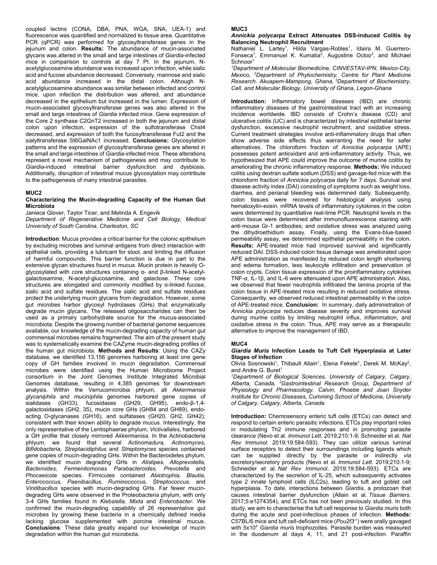coupled lectins (CONA, DBA, PNA, WGA, SNA, UEA-1) and fluorescence was quantified and normalized to tissue area. Quantitative PCR (qPCR) was performed for glycosyltransferase genes in the jejunum and colon. **Results:** The abundance of mucin-associated glycans was altered in the small and large intestines of *Giardia*-infected mice in comparison to controls at day 7 PI. In the jejunum, Nacetylglucosamine abundance was increased upon infection, while sialic acid and fucose abundance decreased. Conversely, mannose and sialic acid abundance increased in the distal colon. Although Nacetylglucosamine abundance was similar between infected and control mice, upon infection the distribution was altered, and abundance decreased in the epithelium but increased in the lumen. Expression of mucin-associated glycosyltransferase genes was also altered in the small and large intestines of *Giardia* infected mice. Gene expression of the Core 2 synthase C2GnT2 increased in both the jejunum and distal colon upon infection, expression of the sulfotransferase Chst4 decreased, and expression of both the fucosyltransferase Fut2 and the sialyltransferase St6GalNAc1 increased. **Conclusions:** Glycosylation patterns and the expression of glycosyltransferase genes are altered in the small and large intestines of *Giardia*-infected mice. These alterations represent a novel mechanism of pathogenesis and may contribute to *Giardia*-induced intestinal barrier dysfunction and dysbiosis. Additionally, disruption of intestinal mucus glycosylation may contribute to the pathogenesis of many intestinal parasites.

#### **MUC2**

### **Characterizing the Mucin-degrading Capacity of the Human Gut Microbiota**

Janiece Glover, Taylor Ticer, and Melinda A. Engevik

*Department of Regenerative Medicine and Cell Biology, Medical University of South Carolina, Charleston, SC* 

**Introduction**: Mucus provides a critical barrier for the colonic epithelium by excluding microbes and luminal antigens from direct interaction with epithelial cells, providing a lubricant for stool, and limiting the diffusion of harmful compounds. This barrier function is due in part to the extensive glycan structures found in mucus. Mucin protein is heavily Oglycosylated with core structures containing α- and β-linked N-acetylgalactosamine, N-acetyl-glucosamine, and galactose. These core structures are elongated and commonly modified by α-linked fucose, sialic acid and sulfate residues. The sialic acid and sulfate residues protect the underlying mucin glycans from degradation. However, some gut microbes harbor glycosyl hydrolases (GHs) that enzymatically degrade mucin glycans. The released oligosaccharides can then be used as a primary carbohydrate source for the mucus-associated microbiota. Despite the growing number of bacterial genome sequences available, our knowledge of the mucin-degrading capacity of human gut commensal microbes remains fragmented. The aim of the present study was to systematically examine the CAZyme mucin-degrading profiles of the human gut microbiota. **Methods and Results**: Using the CAZy database, we identified 13,156 genomes harboring at least one gene copy of GH families involved in mucin degradation. Commensal microbes were identified using the Human Microbiome Project consortium in the Joint Genomes Institute Integrated Microbial Genomes database, resulting in 4,385 genomes for downstream analysis. Within the Verrucomicrobia phlyum, all *Akkermansia glycaniphila* and *muciniphila* genomes harbored gene copies of sialidases (GH33), fucosidases (GH29, GH95), endo-β-1,4 galactosidases (GH2, 35), mucin core GHs (GH84 and GH89), endoacting O-glycanases (GH16), and sulfatases (GH20, GH2, GH42); consistent with their known ability to degrade mucus. Interestingly, the only representative of the Lentisphaerae phylum, *Victivallales*, harbored a GH profile that closely mirrored *Akkermanisa*. In the Actinobacteria phlyum, we found that several *Actinomadura, Actinomyces, Bifidobacteria, Streptacidiphilus* and *Streptomyces* species contained gene copies of mucin-degrading GHs. Within the Bacteroidetes phylum, we identified mucin degrading GHs in *Alistipes, Alloprevotella, Bacteroides, Fermenitomonas Parabacteroides, Prevotella* and *Phocaeicola* species. Firmicutes contained *Abiotrophia, Blautia, Enterococcus, Paenibacillus, Ruminococcus, Streptococcus,* and *Viridibacillus* species with mucin-degrading GHs. Far fewer mucindegrading GHs were observed in the Proteobacteria phylum, with only 3-4 GHs families found in *Klebsiella, Mixta* and *Enterobacter*. We confirmed the mucin-degrading capability of 26 representative gut microbes by growing these bacteria in a chemically defined media lacking glucose supplemented with porcine intestinal mucus. **Conclusions**: These data greatly expand our knowledge of mucin degradation within the human gut microbiota.

#### **MUC3**

# *Annickia polycarpa* **Extract Attenuates DSS-induced Colitis by Balancing Neutrophil Recruitment**

Nathaniel L. Lartey<sup>1</sup>, Hilda Vargas-Robles<sup>1</sup>, Idaira M. Guerrero-Fonseca<sup>1</sup>, Emmanuel K. Kumatia<sup>2</sup>, Augustine Ocloo<sup>3</sup>, and Michael Schnoor1

*1 Department of Molecular Biomedicine, CINVESTAV-IPN, Mexico-City, Mexico, 2 Department of Phytochemistry, Centre for Plant Medicine Research. Akuapem-Mampong, Ghana, 3Department of Biochemistry, Cell, and Molecular Biology, University of Ghana, Legon-Ghana* 

**Introduction:** Inflammatory bowel diseases (IBD) are chronic inflammatory diseases of the gastrointestinal tract with an increasing incidence worldwide. IBD consists of Crohn's disease (CD) and ulcerative colitis (UC) and is characterized by intestinal epithelial barrier dysfunction, excessive neutrophil recruitment, and oxidative stress. Current treatment strategies involve anti-inflammatory drugs that often show adverse side effects thus warranting the need for safer alternatives. The chloroform fraction of *Annickia polycarpa* (APE) possesses potent antioxidant and anti-inflammatory activity. Thus, we hypothesized that APE could improve the outcome of murine colitis by ameliorating the chronic inflammatory response. **Methods:** We induced colitis using dextran sulfate sodium (DSS) and gavage-fed mice with the chloroform fraction of *Annickia polycarpa* daily for 7 days. Survival and disease activity index (DAI) consisting of symptoms such as weight loss, diarrhea, and perianal bleeding was determined daily. Subsequently, colon tissues were recovered for histological analysis using hematoxylin-eosin. mRNA levels of inflammatory cytokines in the colon were determined by quantitative real-time PCR. Neutrophil levels in the colon tissue were determined after immunofluorescence staining with anti-mouse Gr-1 antibodies; and oxidative stress was analyzed using the dihydroethidium assay. Finally, using the Evans-blue-based permeability assay, we determined epithelial permeability in the colon. **Results:** APE-treated mice had improved survival and significantly reduced DAI. DSS-induced colon tissue damage was ameliorated upon APE administration as manifested by reduced colon length shortening and edema formation, less leukocyte infiltration and preservation of colon crypts. Colon tissue expression of the proinflammatory cytokines TNF-α, IL-1β, and IL-6 were attenuated upon APE administration. Also, we observed that fewer neutrophils infiltrated the lamina propria of the colon tissue in APE-treated mice resulting in reduced oxidative stress. Consequently, we observed reduced intestinal permeability in the colon of APE-treated mice. **Conclusion:** In summary, daily administration of *Annickia polycarpa* reduces disease severity and improves survival during murine colitis by limiting neutrophil influx, inflammation, and oxidative stress in the colon. Thus, APE may serve as a therapeutic alternative to improve the management of IBD.

#### **MUC4**

#### *Giardia Muris* **Infection Leads to Tuft Cell Hyperplasia at Later Stages of Infection**

Olivia Sosnowski<sup>1</sup>, Thibault Allain<sup>1</sup>, Elena Fekete<sup>1</sup>, Derek M. McKay<sup>2</sup>, and Andre G. Buret<sup>1</sup>

*1 Department of Biological Sciences, University of Calgary, Calgary, Alberta, Canada, 2 Gastrointestinal Research Group, Department of Physiology and Pharmacology, Calvin, Phoebe and Joan Snyder Institute for Chronic Diseases, Cumming School of Medicine, University of Calgary, Calgary, Alberta, Canada* 

**Introduction:** Chemosensory enteric tuft cells (ETCs) can detect and respond to certain enteric parasitic infections. ETCs play important roles in modulating Th2 immune responses and in promoting parasite clearance (Nevo et al. *Immunol Lett*. 2019;210:1-9; Schneider et al. *Nat Rev Immunol*. 2019;19:584-593). They can utilize various luminal surface receptors to detect their surroundings including ligands which can be supplied directly by the parasite or indirectly *via*  excretory/secretory products (Nevo et al. *Immunol Lett*. 2019;210:1-9; Schneider et al. *Nat Rev Immunol*. 2019;19:584-593). ETCs are characterized by the secretion of IL-25, which subsequently activates type 2 innate lymphoid cells (ILC2s), leading to tuft and goblet cell hyperplasia. To date, interactions between *Giardia*, a protozoan that causes intestinal barrier dysfunction (Allain et al. *Tissue Barriers*. 2017;5:e1274354), and ETCs has not been previously studied. In this study, we aim to characterise the tuft cell response to *Giardia muris* both during the acute and post-infectious phases of infection. **Methods:** C57BL/6 mice and tuft cell-deficient mice (*Pou2f3-/-*) were orally gavaged with 5x104 *Giardia muris* trophozoites. Parasite burden was measured in the duodenum at days 4, 11, and 21 post-infection. Paraffin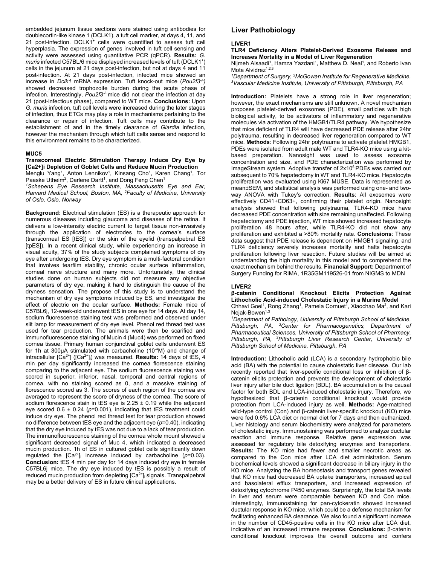embedded jejunum tissue sections were stained using antibodies for doublecortin-like kinase 1 (DCLK1), a tuft cell marker, at days 4, 11, and 21 post-infection. DCLK1<sup>+</sup> cells were quantified to assess tuft cell hyperplasia. The expression of genes involved in tuft cell sensing and activity were assessed using quantitative PCR (qPCR). **Results:** *G.*  muris infected C57BL/6 mice displayed increased levels of tuft (DCLK1<sup>+</sup>) cells in the jejunum at 21 days post-infection, but not at days 4 and 11 post-infection. At 21 days post-infection, infected mice showed an increase in *Dclk1* mRNA expression. Tuft knock-out mice (*Pou2f3-/-)* showed decreased trophozoite burden during the acute phase of infection. Interestingly, *Pou2f3<sup>-/-</sup>* mice did not clear the infection at day 21 (post-infectious phase), compared to WT mice. **Conclusions:** Upon *G. muris* infection, tuft cell levels were increased during the later stages of infection, thus ETCs may play a role in mechanisms pertaining to the clearance or repair of infection. Tuft cells may contribute to the establishment of and in the timely clearance of *Giardia* infection, however the mechanism through which tuft cells sense and respond to this environment remains to be characterized.

#### **MUC5**

# **Transcorneal Electric Stimulation Therapy Induce Dry Eye by [Ca2+]i Depletion of Goblet Cells and Reduce Mucin Production**

Menglu Yang<sup>1</sup>, Anton Lennikov<sup>1</sup>, Kinsang Cho<sup>1</sup>, Karen Chang<sup>1</sup>, Tor Paaske Utheim<sup>2</sup>, Darlene Dartt<sup>1</sup>, and Dong Feng Chen<sup>1</sup>

*1 Schepens Eye Research Institute, Massachusetts Eye and Ear, Harvard Medical School, Boston, MA, 2 Faculty of Medicine, University of Oslo, Oslo, Norway* 

**Background:** Electrical stimulation (ES) is a therapeutic approach for numerous diseases including glaucoma and diseases of the retina. It delivers a low-intensity electric current to target tissue non-invasively through the application of electrodes to the cornea's surface (transcorneal ES [tES]) or the skin of the eyelid (transpalpebral ES [tpES]). In a recent clinical study, while experiencing an increase in visual acuity, 37% of the study subjects complained symptoms of dry eye after undergoing tES. Dry eye symptom is a multi-factoral condition that involves tearfilm stability, chronic ocular surface inflammation, corneal nerve structure and many more. Unfortunately, the clinical studies done on human subjects did not measure any objective parameters of dry eye, making it hard to distinguish the cause of the dryness sensation. The propose of this study is to understand the mechanism of dry eye symptoms induced by ES, and investigate the effect of electric on the ocular surface. **Methods:** Female mice of C57BL6j, 12-week-old underwent tES in one eye for 14 days. At day 14, sodium fluorescence staining test was preformed and observed under slit lamp for measurement of dry eye level. Phenol red thread test was used for tear production. The animals were then be scarified and immunofluorescence staining of Mucin 4 (Muc4) was performed on fixed cornea tissue. Primary human conjunctival goblet cells underwent ES for 1h at 300μA stimulated with carbacholine (10-4M) and change of intracellular [Ca<sup>2+</sup>] ([Ca<sup>2+</sup>]<sub>i</sub>) was measured. **Results:** 14 days of tES, 4 min per day significantly increased the cornea florescence staining comparing to the adjacent eye. The sodium fluorescence staining was scored in superior, inferior, nasal, temporal and central regions of cornea, with no staining scored as 0, and a massive staining of florescence scored as 3. The scores of each region of the cornea are averaged to represent the score of dryness of the cornea. The score of sodium florescence stain in tES eye is  $2.25 \pm 0.19$  while the adjacent eye scored 0.6 ± 0.24 (*p*=0.001), indicating that tES treatment could induce dry eye. The phenol red thread test for tear production showed no difference between tES eye and the adjacent eye (*p*=0.40), indicating that the dry eye induced by tES was not due to a lack of tear production. The immunofluorescence staining of the cornea whole mount showed a significant decreased signal of Muc 4, which indicated a decreased mucin production. 1h of ES in cultured goblet cells significantly down regulated the  $[Ca^{2+}]$  increase induced by carbacholine  $(p=0.03)$ . **Conclusion:** tES 4 min per day for 14 days induced dry eye in female C57BL6j mice. The dry eye induced by tES is possibly a result of reduced mucin production from depleting [Ca<sup>2+</sup>] signals. Transpalpebral may be a better delivery of ES in future clinical applications.

# **Liver Pathobiology**

#### **LIVER1**

**TLR4 Deficiency Alters Platelet-Derived Exosome Release and Increases Mortality in a Model of Liver Regeneration**

Nijmeh Alsaadi<sup>1</sup>, Hamza Yazdani<sup>1</sup>, Matthew D. Neal<sup>1</sup>, and Roberto Ivan Mota Alvidrez $1,2,3$ 

<sup>1</sup>Department of Surgery, <sup>2</sup>McGowan Institute for Regenerative Medicine,<br><sup>3</sup>Vascular Medicine Institute, University of Pittsburgh, Pittsburgh, PA *Vascular Medicine Institute, University of Pittsburgh, Pittsburgh, PA* 

**Introduction:** Platelets have a strong role in liver regeneration; however, the exact mechanisms are still unknown. A novel mechanism proposes platelet-derived exosomes (PDE), small particles with high biological activity, to be activators of inflammatory and regenerative molecules via activation of the HMGB1/TLR4 pathway. We hypothesize that mice deficient of TLR4 will have decreased PDE release after 24hr polytrauma, resulting in decreased liver regeneration compared to WT mice. **Methods**: Following 24hr polytrauma to activate platelet HMGB1, PDEs were isolated from adult male WT and TLR4-KO mice using a kitbased preparation. Nanosight was used to assess exosome concentration and size, and PDE characterization was performed by ImageStream system. Adoptive transfer of 2x10<sup>6</sup> PDEs was carried out subsequent to 70% hepatectomy in WT and TLR4-KO mice. Hepatocyte proliferation was evaluated using Ki67 MUSE. Data is represented as mean±SEM, and statistical analysis was performed using one- and twoway ANOVA with Tukey's correction. **Results**: All exosomes were effectively CD41+CD63+, confirming their platelet origin. Nanosight analysis showed that following polytrauma, TLR4-KO mice have decreased PDE concentration with size remaining unaffected. Following hepatectomy and PDE injection, WT mice showed increased hepatocyte proliferation 48 hours after, while TLR4-KO did not show any proliferation and exhibited a >80% mortality rate. **Conclusions**: These data suggest that PDE release is dependent on HMGB1 signaling, and TLR4 deficiency severely increases mortality and halts hepatocyte proliferation following liver resection. Future studies will be aimed at understanding the high mortality in this model and to comprehend the exact mechanism behind the results. **Financial Support:** Department of Surgery Funding for RIMA, 1R35GM119526-01 from NIGMS to MDN

#### **LIVER2**

**β-catenin Conditional Knockout Elicits Protection Against Lithocholic Acid-induced Cholestatic Injury in a Murine Model**  Chhavi Goel<sup>1</sup>, Rong Zhang<sup>1</sup>, Pamela Cornuet<sup>1</sup>, Xiaochao Ma<sup>2</sup>, and Kari  $Nejak-Bowen<sup>1,3</sup>$ 

<sup>1</sup>Department of Pathology, University of Pittsburgh School of Medicine, *Pittsburgh, PA, 2 Center for Pharmacogenetics, Department of Pharmaceutical Sciences, University of Pittsburgh School of Pharmacy, Pittsburgh, PA, 3 Pittsburgh Liver Research Center, University of Pittsburgh School of Medicine, Pittsburgh, PA* 

**Introduction:** Lithocholic acid (LCA) is a secondary hydrophobic bile acid (BA) with the potential to cause cholestatic liver disease. Our lab recently reported that liver-specific conditional loss or inhibition of βcatenin elicits protection and prevents the development of cholestatic liver injury after bile duct ligation (BDL). BA accumulation is the causal factor for both BDL and LCA-induced cholestatic injury. Therefore, we hypothesized that β-catenin conditional knockout would provide protection from LCA-induced injury as well. **Methods:** Age-matched wild-type control (Con) and β-catenin liver-specific knockout (KO) mice were fed 0.6% LCA diet or normal diet for 7 days and then euthanized. Liver histology and serum biochemistry were analyzed for parameters of cholestatic injury. Immunostaining was performed to analyze ductular reaction and immune response. Relative gene expression was assessed for regulatory bile detoxifying enzymes and transporters. **Results:** The KO mice had fewer and smaller necrotic areas as compared to the Con mice after LCA diet administration. Serum biochemical levels showed a significant decrease in biliary injury in the KO mice. Analyzing the BA homeostasis and transport genes revealed that KO mice had decreased BA uptake transporters, increased apical and basolateral efflux transporters, and increased expression of detoxifying cytochrome P450 enzymes. Surprisingly, the total BA levels in liver and serum were comparable between KO and Con mice. Interestingly, immunostaining for pan-cytokeratin showed increased ductular response in KO mice, which could be a defense mechanism for facilitating enhanced BA clearance. We also found a significant increase in the number of CD45-positive cells in the KO mice after LCA diet, indicative of an increased immune response. **Conclusions:** β-catenin conditional knockout improves the overall outcome and confers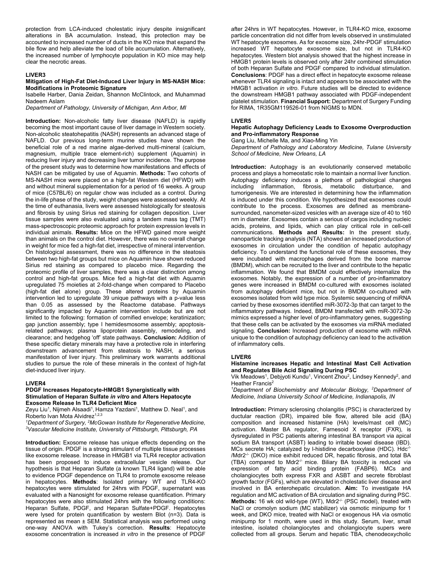protection from LCA-induced cholestatic injury despite insignificant alterations in BA accumulation. Instead, this protection may be accounted to increased number of ducts in the KO mice that expand the bile flow and help alleviate the load of bile accumulation. Alternatively, the increased number of lymphocyte population in KO mice may help clear the necrotic areas.

#### **LIVER3**

#### **Mitigation of High-Fat Diet-Induced Liver Injury in MS-NASH Mice: Modifications in Proteomic Signature**

Isabelle Harber, Dania Zeidan, Shannon McClintock, and Muhammad Nadeem Aslam

*Department of Pathology, University of Michigan, Ann Arbor, MI* 

**Introduction:** Non-alcoholic fatty liver disease (NAFLD) is rapidly becoming the most important cause of liver damage in Western society. Non-alcoholic steatohepatitis (NASH) represents an advanced stage of NAFLD. Our previous long-term murine studies have shown the beneficial role of a red marine algae-derived multi-mineral (calcium, magnesium, multiple trace element-rich) supplement (Aquamin) in reducing liver injury and decreasing liver tumor incidence. The purpose of the present study was to determine how manifestations and effects of NASH can be mitigated by use of Aquamin. **Methods:** Two cohorts of MS-NASH mice were placed on a high-fat Western diet (HFWD) with and without mineral supplementation for a period of 16 weeks. A group of mice (C57BL/6) on regular chow was included as a control. During the in-life phase of the study, weight changes were assessed weekly. At the time of euthanasia, livers were assessed histologically for steatosis and fibrosis by using Sirius red staining for collagen deposition. Liver tissue samples were also evaluated using a tandem mass tag (TMT) mass-spectroscopic proteomic approach for protein expression levels in individual animals. **Results:** Mice on the HFWD gained more weight than animals on the control diet. However, there was no overall change in weight for mice fed a high-fat diet, irrespective of mineral intervention. On histological assessment, there was no difference in the steatosis between two high-fat groups but mice on Aquamin have shown reduced Sirius red staining as compared to placebo mice. Regarding the proteomic profile of liver samples, there was a clear distinction among control and high-fat groups. Mice fed a high-fat diet with Aquamin upregulated 75 moieties at 2-fold-change when compared to Placebo (high-fat diet alone) group. These altered proteins by Aquamin intervention led to upregulate 39 unique pathways with a p-value less than 0.05 as assessed by the Reactome database. Pathways significantly impacted by Aquamin intervention include but are not limited to the following: formation of cornified envelope; keratinization; gap junction assembly; type I hemidesmosome assembly; apoptosisrelated pathways; plasma lipoprotein assembly, remodeling, and clearance; and hedgehog 'off' state pathways. **Conclusion:** Addition of these specific dietary minerals may have a protective role in interfering downstream advancement from steatosis to NASH, a serious manifestation of liver injury. This preliminary work warrants additional studies to pursue the role of these minerals in the context of high-fat diet-induced liver injury.

#### **LIVER4**

#### **PDGF Increases Hepatocyte-HMGB1 Synergistically with Stimulation of Heparan Sulfate** *in vitro* **and Alters Hepatocyte Exosome Release In TLR4 Deficient Mice**

Zeyu Liu<sup>1</sup>, Nijmeh Alsaadi<sup>1</sup>, Hamza Yazdani<sup>1</sup>, Matthew D. Neal<sup>1</sup>, and Roberto Ivan Mota Alvidrez<sup>1,2,3</sup>

<sup>1</sup>Department of Surgery, <sup>2</sup>McGowan Institute for Regenerative Medicine,<br><sup>3</sup>Vascular Medicine Institute, University of Pittsburgh, Pittsburgh, PA *Vascular Medicine Institute, University of Pittsburgh, Pittsburgh, PA* 

**Introduction:** Exosome release has unique effects depending on the tissue of origin. PDGF is a strong stimulant of multiple tissue processes like exosome release. Increase in HMGB1 via TLR4 receptor activation has been proposed to induce extracellular vesicle release. Our hypothesis is that Heparan Sulfate (a known TLR4 ligand) will be able to evidence PDGF dependence on TLR4 to promote exosome release in hepatocytes. **Methods**: Isolated primary WT and TLR4-KO hepatocytes were stimulated for 24hrs with PDGF, supernatant was evaluated with a Nanosight for exosome release quantification. Primary hepatocytes were also stimulated 24hrs with the following conditions: Heparan Sulfate, PDGF, and Heparan Sulfate+PDGF. Hepatocytes were lysed for protein quantification by western Blot (n=3). Data is represented as mean ± SEM. Statistical analysis was performed using one-way ANOVA with Tukey's correction. **Results**: Hepatocyte exosome concentration is increased *in vitro* in the presence of PDGF

after 24hrs in WT hepatocytes. However, in TLR4-KO mice, exosome particle concentration did not differ from levels observed in unstimulated WT hepatocyte exosomes. As for exosome size, 24hr-PDGF stimulation increased WT hepatocyte exosome size, but not in TLR4-KO hepatocytes. Western blot analysis showed that the highest increase in HMGB1 protein levels is observed only after 24hr combined stimulation of both Heparan Sulfate and PDGF compared to individual stimulation. **Conclusions**: PDGF has a direct effect in hepatocyte exosome release whenever TLR4 signaling is intact and appears to be associated with the HMGB1 activation *in vitro*. Future studies will be directed to evidence the downstream HMGB1 pathway associated with PDGF-independent platelet stimulation. **Financial Support:** Department of Surgery Funding for RIMA, 1R35GM119526-01 from NIGMS to MDN.

#### **LIVER5**

#### **Hepatic Autophagy Deficiency Leads to Exosome Overproduction and Pro-inflammatory Response**

Gang Liu, Michelle Ma, and Xiao-Ming Yin

*Department of Pathology and Laboratory Medicine, Tulane University School of Medicine, New Orleans, LA* 

**Introduction:** Autophagy is an evolutionarily conserved metabolic process and plays a homeostatic role to maintain a normal liver function. Autophagy deficiency induces a plethora of pathological changes including inflammation, fibrosis, metabolic disturbance, and tumorigenesis. We are interested in determining how the inflammation is induced under this condition. We hypothesized that exosomes could contribute to the process. Exosomes are defined as membranesurrounded, nanometer-sized vesicles with an average size of 40 to 160 nm in diameter. Exosomes contain a serious of cargos including nucleic acids, proteins, and lipids, which can play critical role in cell-cell communications. **Methods and Results:** In the present study, nanoparticle tracking analysis (NTA) showed an increased production of exosomes in circulation under the condition of hepatic autophagy deficiency. To understand the functional role of these exosomes, they were incubated with macrophages derived from the bone marrow (BMDM), which can be recruited to the liver and contribute to the hepatic inflammation. We found that BMDM could effectively internalize the exosomes. Notably, the expression of a number of pro-inflammatory genes were increased in BMDM co-cultured with exosomes isolated from autophagy deficient mice, but not in BMDM co-cultured with exosomes isolated from wild type mice. Systemic sequencing of miRNA carried by these exosomes identified miR-3072-3p that can target to the inflammatory pathways. Indeed, BMDM transfected with miR-3072-3p mimics expressed a higher level of pro-inflammatory genes, suggesting that these cells can be activated by the exosomes via miRNA mediated signaling. **Conclusion:** Increased production of exosome with miRNA unique to the condition of autophagy deficiency can lead to the activation of inflammatory cells.

#### **LIVER6**

**Histamine increases Hepatic and Intestinal Mast Cell Activation and Regulates Bile Acid Signaling During PSC** 

Vik Meadows<sup>1</sup>, Debjyoti Kundu<sup>1</sup>, Vincent Zhou<sup>2</sup>, Lindsey Kennedy<sup>2</sup>, and Heather Francis<sup>2</sup>

<sup>1</sup>Department of Biochemistry and Molecular Biology, <sup>2</sup>Department of *Medicine, Indiana University School of Medicine, Indianapolis, IN* 

**Introduction:** Primary sclerosing cholangitis (PSC) is characterized by ductular reaction (DR), impaired bile flow, altered bile acid (BA) composition and increased histamine (HA) levels/mast cell (MC) activation. Master BA regulator, Farnesoid X receptor (FXR), is dysregulated in PSC patients altering intestinal BA transport via apical sodium BA transport (ASBT) leading to irritable bowel disease (IBD). MCs secrete HA; catalyzed by l-histidine decarboxylase (HDC).  $Hdc<sup>-/-</sup>$ /Mdr2-/- (DKO) mice exhibit reduced DR, hepatic fibrosis, and total BA (TBA) compared to Mdr2<sup>-/-</sup> mice. Biliary BA toxicity is reduced via expression of fatty acid binding protein (FABP6). MCs and cholangiocytes both express FXR and ASBT and secrete fibroblast growth factor (FGFs), which are elevated in cholestatic liver disease and involved in BA enterohepatic circulation. **Aim:** To investigate HA regulation and MC activation of BA circulation and signaling during PSC. Methods: 16 wk old wild-type (WT), Mdr2<sup>-/-</sup> (PSC model), treated with NaCl or cromolyn sodium (MC stabilizer) via osmotic minipump for 1 week, and DKO mice, treated with NaCl or exogenous HA via osmotic minipump for 1 month, were used in this study. Serum, liver, small intestine, isolated cholangiocytes and cholangiocyte supers were collected from all groups. Serum and hepatic TBA, chenodeoxycholic